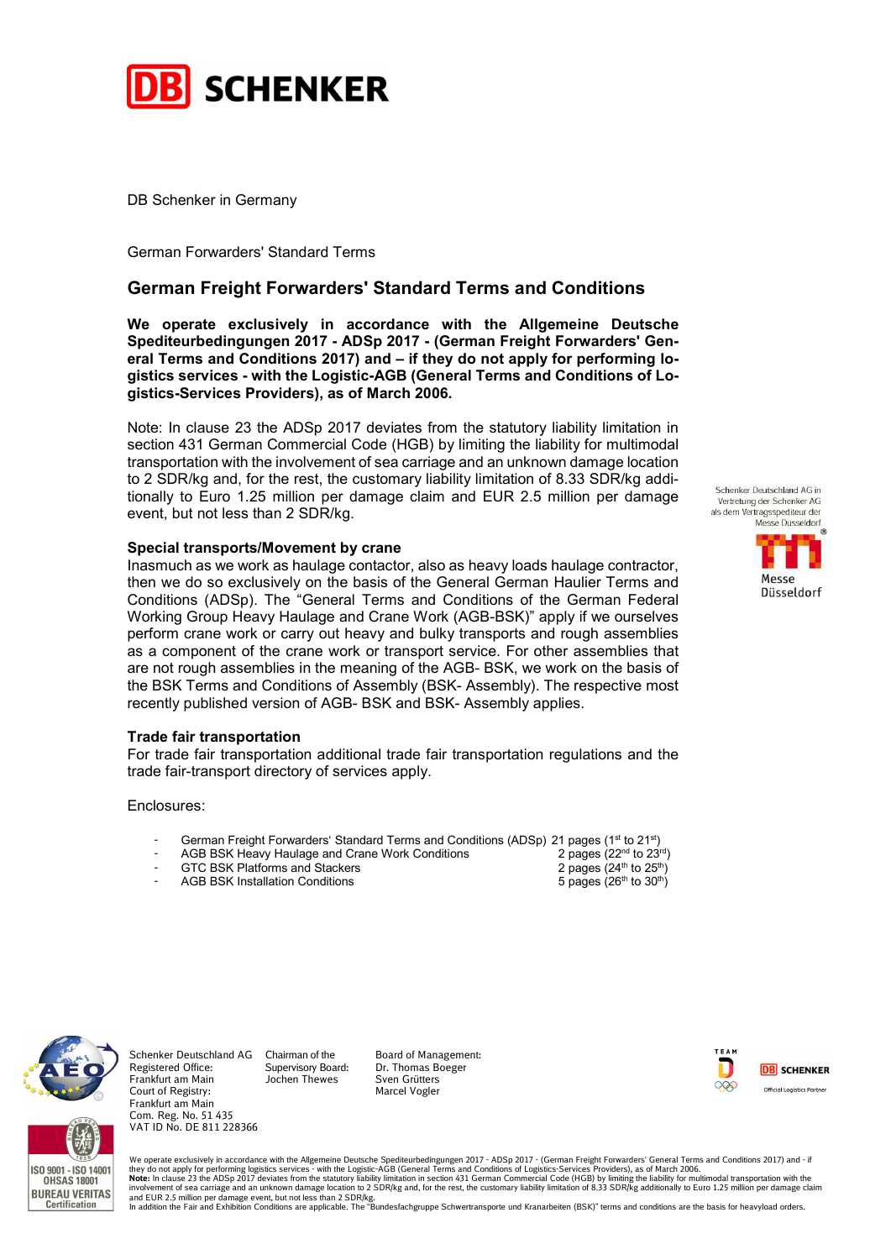

DB Schenker in Germany

German Forwarders' Standard Terms

# German Freight Forwarders' Standard Terms and Conditions

We operate exclusively in accordance with the Allgemeine Deutsche Spediteurbedingungen 2017 - ADSp 2017 - (German Freight Forwarders' General Terms and Conditions 2017) and – if they do not apply for performing logistics services - with the Logistic-AGB (General Terms and Conditions of Logistics-Services Providers), as of March 2006.

Note: In clause 23 the ADSp 2017 deviates from the statutory liability limitation in section 431 German Commercial Code (HGB) by limiting the liability for multimodal transportation with the involvement of sea carriage and an unknown damage location to 2 SDR/kg and, for the rest, the customary liability limitation of 8.33 SDR/kg additionally to Euro 1.25 million per damage claim and EUR 2.5 million per damage event, but not less than 2 SDR/kg.

### Special transports/Movement by crane

Inasmuch as we work as haulage contactor, also as heavy loads haulage contractor, then we do so exclusively on the basis of the General German Haulier Terms and Conditions (ADSp). The "General Terms and Conditions of the German Federal Working Group Heavy Haulage and Crane Work (AGB-BSK)" apply if we ourselves perform crane work or carry out heavy and bulky transports and rough assemblies as a component of the crane work or transport service. For other assemblies that are not rough assemblies in the meaning of the AGB- BSK, we work on the basis of the BSK Terms and Conditions of Assembly (BSK- Assembly). The respective most recently published version of AGB- BSK and BSK- Assembly applies.

### Trade fair transportation

For trade fair transportation additional trade fair transportation regulations and the trade fair-transport directory of services apply.

Enclosures:

- German Freight Forwarders' Standard Terms and Conditions (ADSp) 21 pages (1<sup>st</sup> to 21<sup>st</sup>)<br>AGB BSK Heavy Haulage and Crane Work Conditions 2 pages (22<sup>nd</sup> to 23<sup>rd</sup>)
	- AGB BSK Heavy Haulage and Crane Work Conditions 2 pages ( $2^{nd}$  to  $2^{3^{rd}}$ <br>GTC BSK Platforms and Stackers 2 pages ( $2^{4^{th}}$  to  $25^{th}$ )
- 
- AGB BSK Installation Conditions
- GTC BSK Platforms and Stackers 2 pages (24<sup>th</sup> to 25<sup>th</sup>)<br>AGB BSK Installation Conditions 2 pages (26<sup>th</sup> to 30<sup>th</sup>)



**BUREAU VERITAS** Certification

Court of Registry: Frankfurt am Main Com. Reg. No. 51 435 VAT ID No. DE 811 228366 ISO 9001 - ISO 14001 **OHSAS 18001** 

Schenker Deutschland AG Chairman of the Registered Office: Frankfurt am Main Supervisory Board: Jochen Thewes

Board of Management: Dr. Thomas Boeger Sven Grütters Marcel Vogler



We operate exclusively in accordance with the Allgemeine Deutsche Spediteurbedingungen 2017 - ADSp 2017 - (German Freight Forwarders' General Terms and Conditions 2017) and - if they do not apply for performing logistics services - with the Logistic-AGB (General Terms and Conditions of Logistics-Services Providers), as of March 2006.<br>Involvement of sea carriage and an unknown damage location to 2

Schenker Deutschland AG in Vertretung der Schenker AG als dem Vertragsspediteur der Messe Dusseldorf

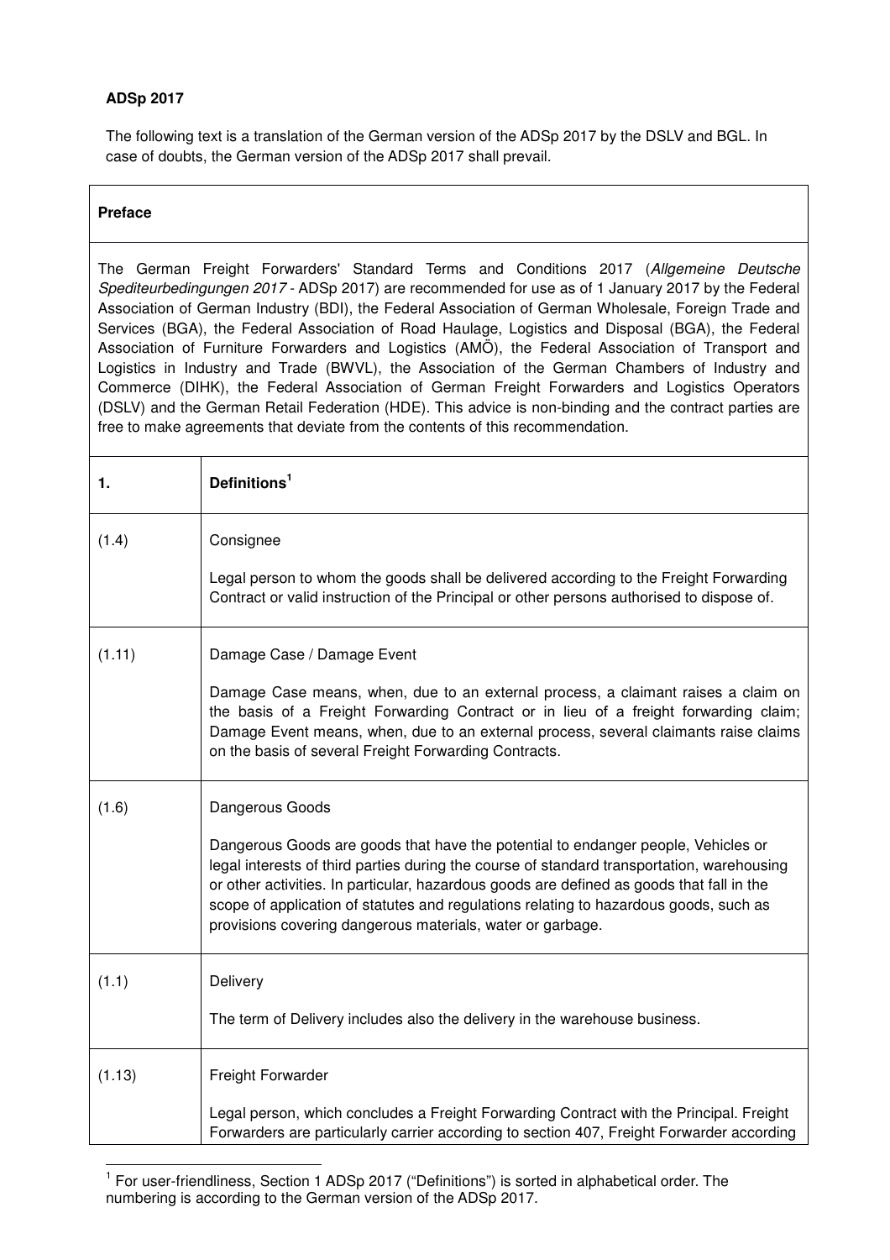# **ADSp 2017**

The following text is a translation of the German version of the ADSp 2017 by the DSLV and BGL. In case of doubts, the German version of the ADSp 2017 shall prevail.

# **Preface**

The German Freight Forwarders' Standard Terms and Conditions 2017 (Allgemeine Deutsche Spediteurbedingungen 2017 - ADSp 2017) are recommended for use as of 1 January 2017 by the Federal Association of German Industry (BDI), the Federal Association of German Wholesale, Foreign Trade and Services (BGA), the Federal Association of Road Haulage, Logistics and Disposal (BGA), the Federal Association of Furniture Forwarders and Logistics (AMÖ), the Federal Association of Transport and Logistics in Industry and Trade (BWVL), the Association of the German Chambers of Industry and Commerce (DIHK), the Federal Association of German Freight Forwarders and Logistics Operators (DSLV) and the German Retail Federation (HDE). This advice is non-binding and the contract parties are free to make agreements that deviate from the contents of this recommendation.

| 1.     | Definitions <sup>1</sup>                                                                                                                                                                                                                                                                                                                                                                                                            |
|--------|-------------------------------------------------------------------------------------------------------------------------------------------------------------------------------------------------------------------------------------------------------------------------------------------------------------------------------------------------------------------------------------------------------------------------------------|
| (1.4)  | Consignee                                                                                                                                                                                                                                                                                                                                                                                                                           |
|        | Legal person to whom the goods shall be delivered according to the Freight Forwarding<br>Contract or valid instruction of the Principal or other persons authorised to dispose of.                                                                                                                                                                                                                                                  |
| (1.11) | Damage Case / Damage Event                                                                                                                                                                                                                                                                                                                                                                                                          |
|        | Damage Case means, when, due to an external process, a claimant raises a claim on<br>the basis of a Freight Forwarding Contract or in lieu of a freight forwarding claim;<br>Damage Event means, when, due to an external process, several claimants raise claims<br>on the basis of several Freight Forwarding Contracts.                                                                                                          |
| (1.6)  | Dangerous Goods                                                                                                                                                                                                                                                                                                                                                                                                                     |
|        | Dangerous Goods are goods that have the potential to endanger people, Vehicles or<br>legal interests of third parties during the course of standard transportation, warehousing<br>or other activities. In particular, hazardous goods are defined as goods that fall in the<br>scope of application of statutes and regulations relating to hazardous goods, such as<br>provisions covering dangerous materials, water or garbage. |
| (1.1)  | Delivery                                                                                                                                                                                                                                                                                                                                                                                                                            |
|        | The term of Delivery includes also the delivery in the warehouse business.                                                                                                                                                                                                                                                                                                                                                          |
| (1.13) | Freight Forwarder                                                                                                                                                                                                                                                                                                                                                                                                                   |
|        | Legal person, which concludes a Freight Forwarding Contract with the Principal. Freight<br>Forwarders are particularly carrier according to section 407, Freight Forwarder according                                                                                                                                                                                                                                                |

<sup>&</sup>lt;sup>1</sup> For user-friendliness, Section 1 ADSp 2017 ("Definitions") is sorted in alphabetical order. The numbering is according to the German version of the ADSp 2017.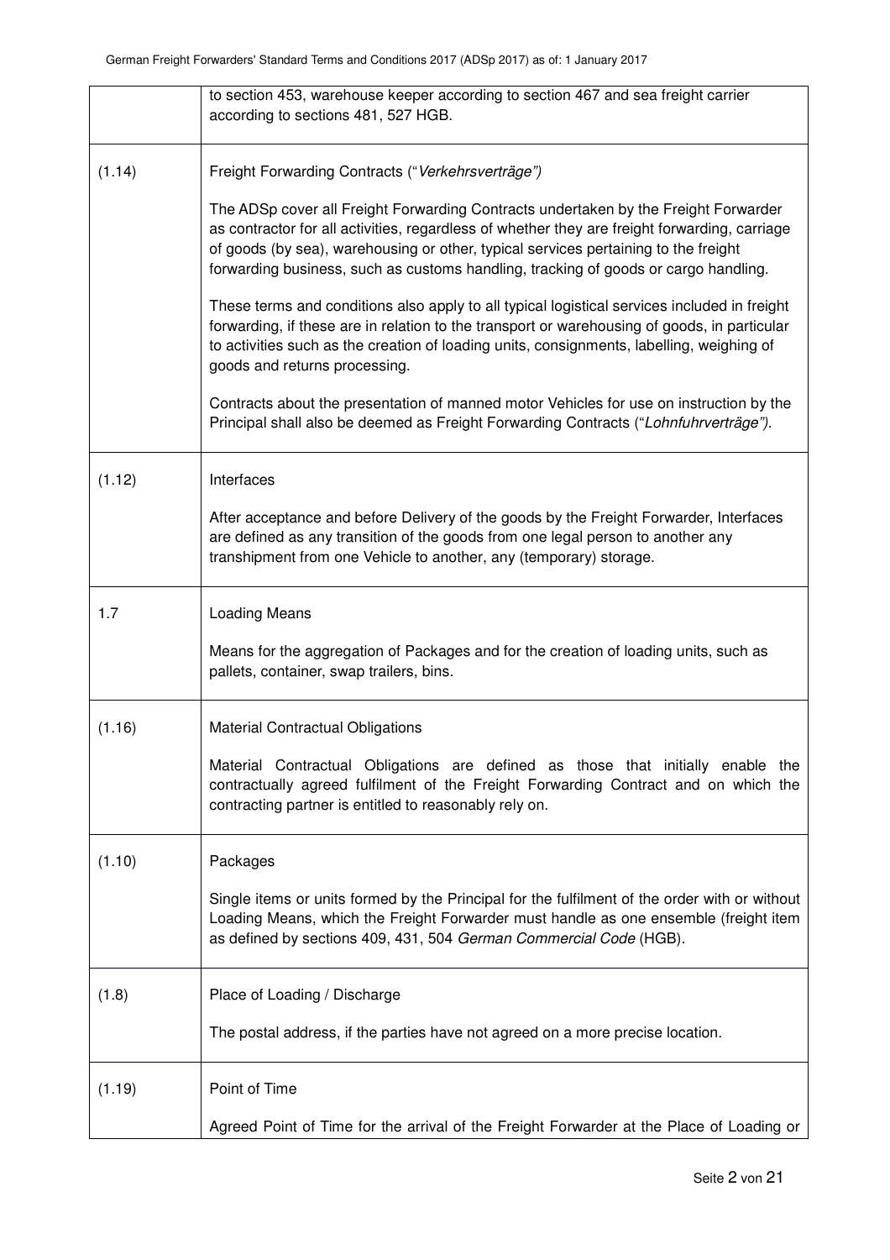|        | to section 453, warehouse keeper according to section 467 and sea freight carrier<br>according to sections 481, 527 HGB.                                                                                                                                                                                                                                           |
|--------|--------------------------------------------------------------------------------------------------------------------------------------------------------------------------------------------------------------------------------------------------------------------------------------------------------------------------------------------------------------------|
| (1.14) | Freight Forwarding Contracts ("Verkehrsverträge")                                                                                                                                                                                                                                                                                                                  |
|        | The ADSp cover all Freight Forwarding Contracts undertaken by the Freight Forwarder<br>as contractor for all activities, regardless of whether they are freight forwarding, carriage<br>of goods (by sea), warehousing or other, typical services pertaining to the freight<br>forwarding business, such as customs handling, tracking of goods or cargo handling. |
|        | These terms and conditions also apply to all typical logistical services included in freight<br>forwarding, if these are in relation to the transport or warehousing of goods, in particular<br>to activities such as the creation of loading units, consignments, labelling, weighing of<br>goods and returns processing.                                         |
|        | Contracts about the presentation of manned motor Vehicles for use on instruction by the<br>Principal shall also be deemed as Freight Forwarding Contracts ("Lohnfuhrverträge").                                                                                                                                                                                    |
| (1.12) | Interfaces                                                                                                                                                                                                                                                                                                                                                         |
|        | After acceptance and before Delivery of the goods by the Freight Forwarder, Interfaces<br>are defined as any transition of the goods from one legal person to another any<br>transhipment from one Vehicle to another, any (temporary) storage.                                                                                                                    |
| 1.7    | Loading Means                                                                                                                                                                                                                                                                                                                                                      |
|        | Means for the aggregation of Packages and for the creation of loading units, such as<br>pallets, container, swap trailers, bins.                                                                                                                                                                                                                                   |
| (1.16) | <b>Material Contractual Obligations</b>                                                                                                                                                                                                                                                                                                                            |
|        | Material Contractual Obligations are defined as those that initially enable the<br>contractually agreed fulfilment of the Freight Forwarding Contract and on which the<br>contracting partner is entitled to reasonably rely on.                                                                                                                                   |
| (1.10) | Packages                                                                                                                                                                                                                                                                                                                                                           |
|        | Single items or units formed by the Principal for the fulfilment of the order with or without<br>Loading Means, which the Freight Forwarder must handle as one ensemble (freight item<br>as defined by sections 409, 431, 504 German Commercial Code (HGB).                                                                                                        |
| (1.8)  | Place of Loading / Discharge                                                                                                                                                                                                                                                                                                                                       |
|        | The postal address, if the parties have not agreed on a more precise location.                                                                                                                                                                                                                                                                                     |
| (1.19) | Point of Time                                                                                                                                                                                                                                                                                                                                                      |
|        | Agreed Point of Time for the arrival of the Freight Forwarder at the Place of Loading or                                                                                                                                                                                                                                                                           |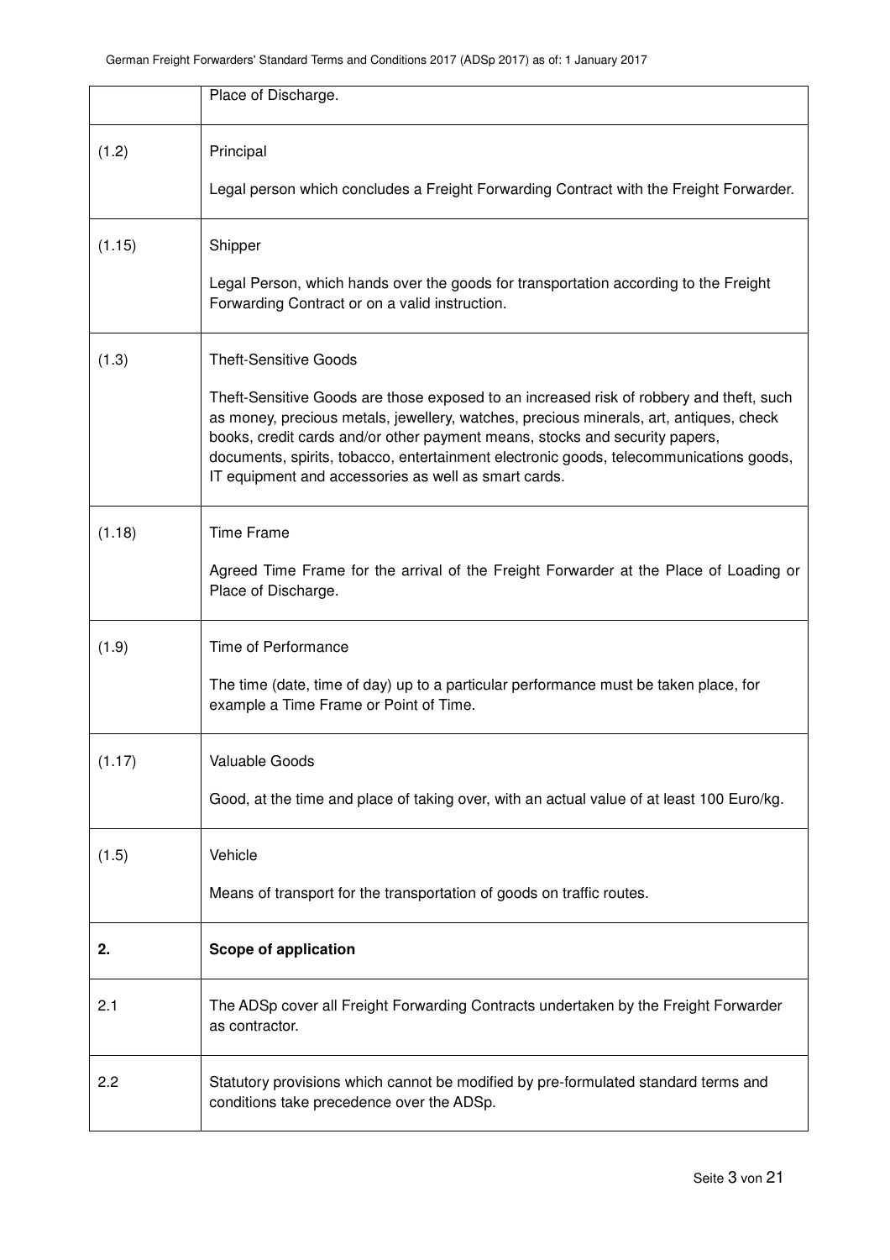|        | Place of Discharge.                                                                                                                                                                                                                                                                                                                                                                                                |
|--------|--------------------------------------------------------------------------------------------------------------------------------------------------------------------------------------------------------------------------------------------------------------------------------------------------------------------------------------------------------------------------------------------------------------------|
| (1.2)  | Principal<br>Legal person which concludes a Freight Forwarding Contract with the Freight Forwarder.                                                                                                                                                                                                                                                                                                                |
| (1.15) | Shipper                                                                                                                                                                                                                                                                                                                                                                                                            |
|        | Legal Person, which hands over the goods for transportation according to the Freight<br>Forwarding Contract or on a valid instruction.                                                                                                                                                                                                                                                                             |
| (1.3)  | <b>Theft-Sensitive Goods</b>                                                                                                                                                                                                                                                                                                                                                                                       |
|        | Theft-Sensitive Goods are those exposed to an increased risk of robbery and theft, such<br>as money, precious metals, jewellery, watches, precious minerals, art, antiques, check<br>books, credit cards and/or other payment means, stocks and security papers,<br>documents, spirits, tobacco, entertainment electronic goods, telecommunications goods,<br>IT equipment and accessories as well as smart cards. |
| (1.18) | <b>Time Frame</b>                                                                                                                                                                                                                                                                                                                                                                                                  |
|        | Agreed Time Frame for the arrival of the Freight Forwarder at the Place of Loading or<br>Place of Discharge.                                                                                                                                                                                                                                                                                                       |
| (1.9)  | Time of Performance                                                                                                                                                                                                                                                                                                                                                                                                |
|        | The time (date, time of day) up to a particular performance must be taken place, for<br>example a Time Frame or Point of Time.                                                                                                                                                                                                                                                                                     |
| (1.17) | Valuable Goods                                                                                                                                                                                                                                                                                                                                                                                                     |
|        | Good, at the time and place of taking over, with an actual value of at least 100 Euro/kg.                                                                                                                                                                                                                                                                                                                          |
| (1.5)  | Vehicle                                                                                                                                                                                                                                                                                                                                                                                                            |
|        | Means of transport for the transportation of goods on traffic routes.                                                                                                                                                                                                                                                                                                                                              |
| 2.     | <b>Scope of application</b>                                                                                                                                                                                                                                                                                                                                                                                        |
| 2.1    | The ADSp cover all Freight Forwarding Contracts undertaken by the Freight Forwarder<br>as contractor.                                                                                                                                                                                                                                                                                                              |
| 2.2    | Statutory provisions which cannot be modified by pre-formulated standard terms and<br>conditions take precedence over the ADSp.                                                                                                                                                                                                                                                                                    |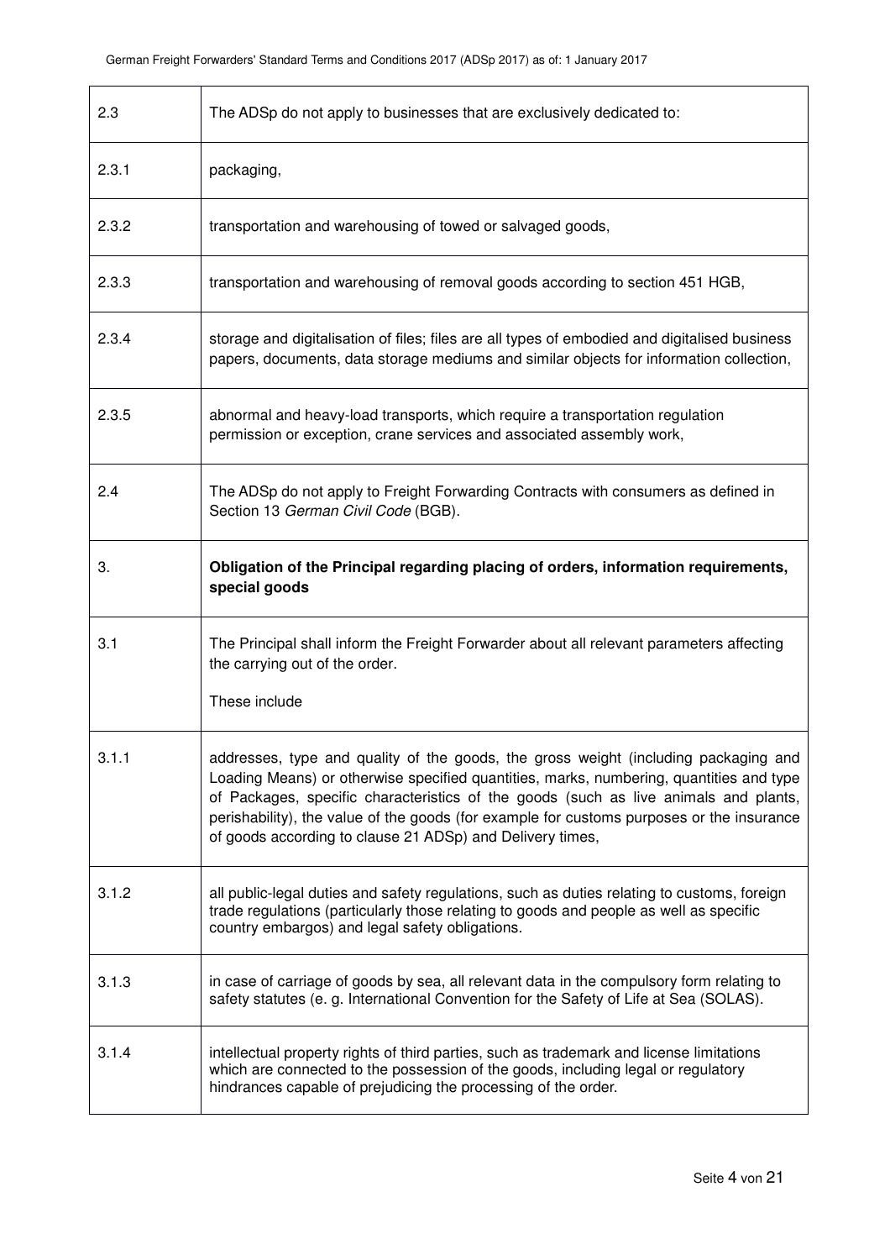| 2.3   | The ADSp do not apply to businesses that are exclusively dedicated to:                                                                                                                                                                                                                                                                                                                                                           |
|-------|----------------------------------------------------------------------------------------------------------------------------------------------------------------------------------------------------------------------------------------------------------------------------------------------------------------------------------------------------------------------------------------------------------------------------------|
| 2.3.1 | packaging,                                                                                                                                                                                                                                                                                                                                                                                                                       |
| 2.3.2 | transportation and warehousing of towed or salvaged goods,                                                                                                                                                                                                                                                                                                                                                                       |
| 2.3.3 | transportation and warehousing of removal goods according to section 451 HGB,                                                                                                                                                                                                                                                                                                                                                    |
| 2.3.4 | storage and digitalisation of files; files are all types of embodied and digitalised business<br>papers, documents, data storage mediums and similar objects for information collection,                                                                                                                                                                                                                                         |
| 2.3.5 | abnormal and heavy-load transports, which require a transportation regulation<br>permission or exception, crane services and associated assembly work,                                                                                                                                                                                                                                                                           |
| 2.4   | The ADSp do not apply to Freight Forwarding Contracts with consumers as defined in<br>Section 13 German Civil Code (BGB).                                                                                                                                                                                                                                                                                                        |
| 3.    | Obligation of the Principal regarding placing of orders, information requirements,<br>special goods                                                                                                                                                                                                                                                                                                                              |
| 3.1   | The Principal shall inform the Freight Forwarder about all relevant parameters affecting<br>the carrying out of the order.<br>These include                                                                                                                                                                                                                                                                                      |
| 3.1.1 | addresses, type and quality of the goods, the gross weight (including packaging and<br>Loading Means) or otherwise specified quantities, marks, numbering, quantities and type<br>of Packages, specific characteristics of the goods (such as live animals and plants,<br>perishability), the value of the goods (for example for customs purposes or the insurance<br>of goods according to clause 21 ADSp) and Delivery times, |
| 3.1.2 | all public-legal duties and safety regulations, such as duties relating to customs, foreign<br>trade regulations (particularly those relating to goods and people as well as specific<br>country embargos) and legal safety obligations.                                                                                                                                                                                         |
| 3.1.3 | in case of carriage of goods by sea, all relevant data in the compulsory form relating to<br>safety statutes (e. g. International Convention for the Safety of Life at Sea (SOLAS).                                                                                                                                                                                                                                              |
| 3.1.4 | intellectual property rights of third parties, such as trademark and license limitations<br>which are connected to the possession of the goods, including legal or regulatory<br>hindrances capable of prejudicing the processing of the order.                                                                                                                                                                                  |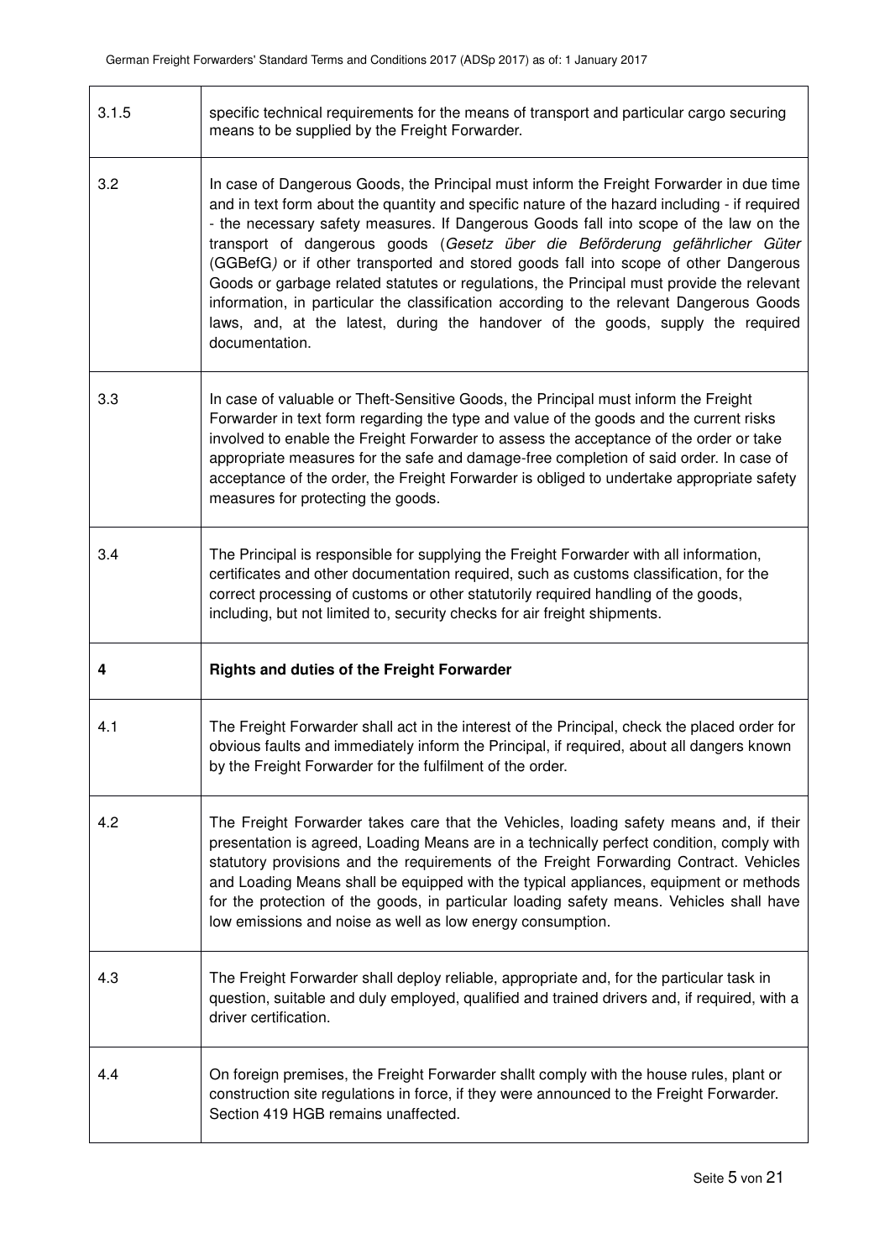$\mathsf{r}$ 

٦

| 3.1.5 | specific technical requirements for the means of transport and particular cargo securing<br>means to be supplied by the Freight Forwarder.                                                                                                                                                                                                                                                                                                                                                                                                                                                                                                                                                                                                             |
|-------|--------------------------------------------------------------------------------------------------------------------------------------------------------------------------------------------------------------------------------------------------------------------------------------------------------------------------------------------------------------------------------------------------------------------------------------------------------------------------------------------------------------------------------------------------------------------------------------------------------------------------------------------------------------------------------------------------------------------------------------------------------|
| 3.2   | In case of Dangerous Goods, the Principal must inform the Freight Forwarder in due time<br>and in text form about the quantity and specific nature of the hazard including - if required<br>- the necessary safety measures. If Dangerous Goods fall into scope of the law on the<br>transport of dangerous goods (Gesetz über die Beförderung gefährlicher Güter<br>(GGBefG) or if other transported and stored goods fall into scope of other Dangerous<br>Goods or garbage related statutes or regulations, the Principal must provide the relevant<br>information, in particular the classification according to the relevant Dangerous Goods<br>laws, and, at the latest, during the handover of the goods, supply the required<br>documentation. |
| 3.3   | In case of valuable or Theft-Sensitive Goods, the Principal must inform the Freight<br>Forwarder in text form regarding the type and value of the goods and the current risks<br>involved to enable the Freight Forwarder to assess the acceptance of the order or take<br>appropriate measures for the safe and damage-free completion of said order. In case of<br>acceptance of the order, the Freight Forwarder is obliged to undertake appropriate safety<br>measures for protecting the goods.                                                                                                                                                                                                                                                   |
| 3.4   | The Principal is responsible for supplying the Freight Forwarder with all information,<br>certificates and other documentation required, such as customs classification, for the<br>correct processing of customs or other statutorily required handling of the goods,<br>including, but not limited to, security checks for air freight shipments.                                                                                                                                                                                                                                                                                                                                                                                                    |
| 4     | <b>Rights and duties of the Freight Forwarder</b>                                                                                                                                                                                                                                                                                                                                                                                                                                                                                                                                                                                                                                                                                                      |
| 4.1   | The Freight Forwarder shall act in the interest of the Principal, check the placed order for<br>obvious faults and immediately inform the Principal, if required, about all dangers known<br>by the Freight Forwarder for the fulfilment of the order.                                                                                                                                                                                                                                                                                                                                                                                                                                                                                                 |
| 4.2   | The Freight Forwarder takes care that the Vehicles, loading safety means and, if their<br>presentation is agreed, Loading Means are in a technically perfect condition, comply with<br>statutory provisions and the requirements of the Freight Forwarding Contract. Vehicles<br>and Loading Means shall be equipped with the typical appliances, equipment or methods<br>for the protection of the goods, in particular loading safety means. Vehicles shall have<br>low emissions and noise as well as low energy consumption.                                                                                                                                                                                                                       |
| 4.3   | The Freight Forwarder shall deploy reliable, appropriate and, for the particular task in<br>question, suitable and duly employed, qualified and trained drivers and, if required, with a<br>driver certification.                                                                                                                                                                                                                                                                                                                                                                                                                                                                                                                                      |
| 4.4   | On foreign premises, the Freight Forwarder shallt comply with the house rules, plant or<br>construction site regulations in force, if they were announced to the Freight Forwarder.<br>Section 419 HGB remains unaffected.                                                                                                                                                                                                                                                                                                                                                                                                                                                                                                                             |

٦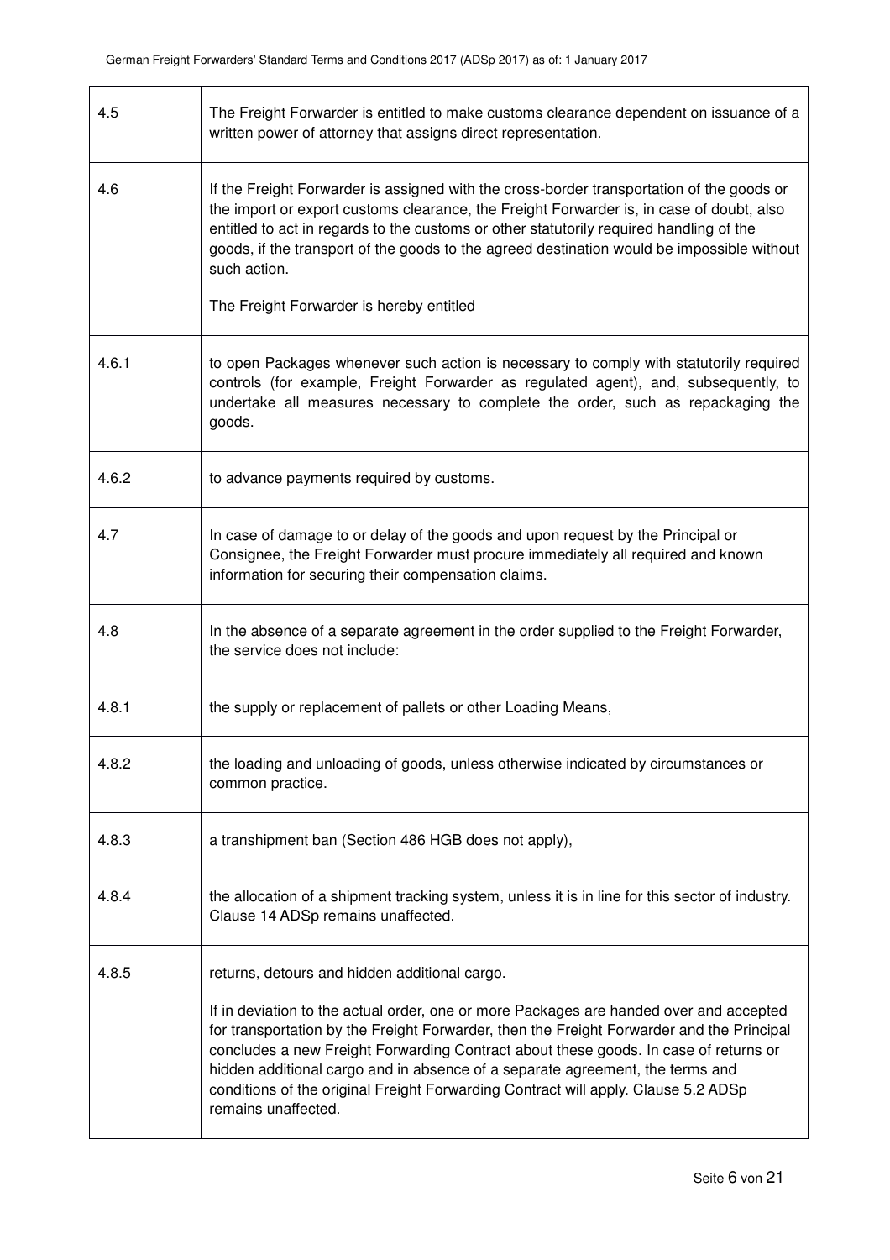| 4.5   | The Freight Forwarder is entitled to make customs clearance dependent on issuance of a<br>written power of attorney that assigns direct representation.                                                                                                                                                                                                                                                                                                                   |
|-------|---------------------------------------------------------------------------------------------------------------------------------------------------------------------------------------------------------------------------------------------------------------------------------------------------------------------------------------------------------------------------------------------------------------------------------------------------------------------------|
| 4.6   | If the Freight Forwarder is assigned with the cross-border transportation of the goods or<br>the import or export customs clearance, the Freight Forwarder is, in case of doubt, also<br>entitled to act in regards to the customs or other statutorily required handling of the<br>goods, if the transport of the goods to the agreed destination would be impossible without<br>such action.                                                                            |
|       | The Freight Forwarder is hereby entitled                                                                                                                                                                                                                                                                                                                                                                                                                                  |
| 4.6.1 | to open Packages whenever such action is necessary to comply with statutorily required<br>controls (for example, Freight Forwarder as regulated agent), and, subsequently, to<br>undertake all measures necessary to complete the order, such as repackaging the<br>goods.                                                                                                                                                                                                |
| 4.6.2 | to advance payments required by customs.                                                                                                                                                                                                                                                                                                                                                                                                                                  |
| 4.7   | In case of damage to or delay of the goods and upon request by the Principal or<br>Consignee, the Freight Forwarder must procure immediately all required and known<br>information for securing their compensation claims.                                                                                                                                                                                                                                                |
| 4.8   | In the absence of a separate agreement in the order supplied to the Freight Forwarder,<br>the service does not include:                                                                                                                                                                                                                                                                                                                                                   |
| 4.8.1 | the supply or replacement of pallets or other Loading Means,                                                                                                                                                                                                                                                                                                                                                                                                              |
| 4.8.2 | the loading and unloading of goods, unless otherwise indicated by circumstances or<br>common practice.                                                                                                                                                                                                                                                                                                                                                                    |
| 4.8.3 | a transhipment ban (Section 486 HGB does not apply),                                                                                                                                                                                                                                                                                                                                                                                                                      |
| 4.8.4 | the allocation of a shipment tracking system, unless it is in line for this sector of industry.<br>Clause 14 ADSp remains unaffected.                                                                                                                                                                                                                                                                                                                                     |
| 4.8.5 | returns, detours and hidden additional cargo.                                                                                                                                                                                                                                                                                                                                                                                                                             |
|       | If in deviation to the actual order, one or more Packages are handed over and accepted<br>for transportation by the Freight Forwarder, then the Freight Forwarder and the Principal<br>concludes a new Freight Forwarding Contract about these goods. In case of returns or<br>hidden additional cargo and in absence of a separate agreement, the terms and<br>conditions of the original Freight Forwarding Contract will apply. Clause 5.2 ADSp<br>remains unaffected. |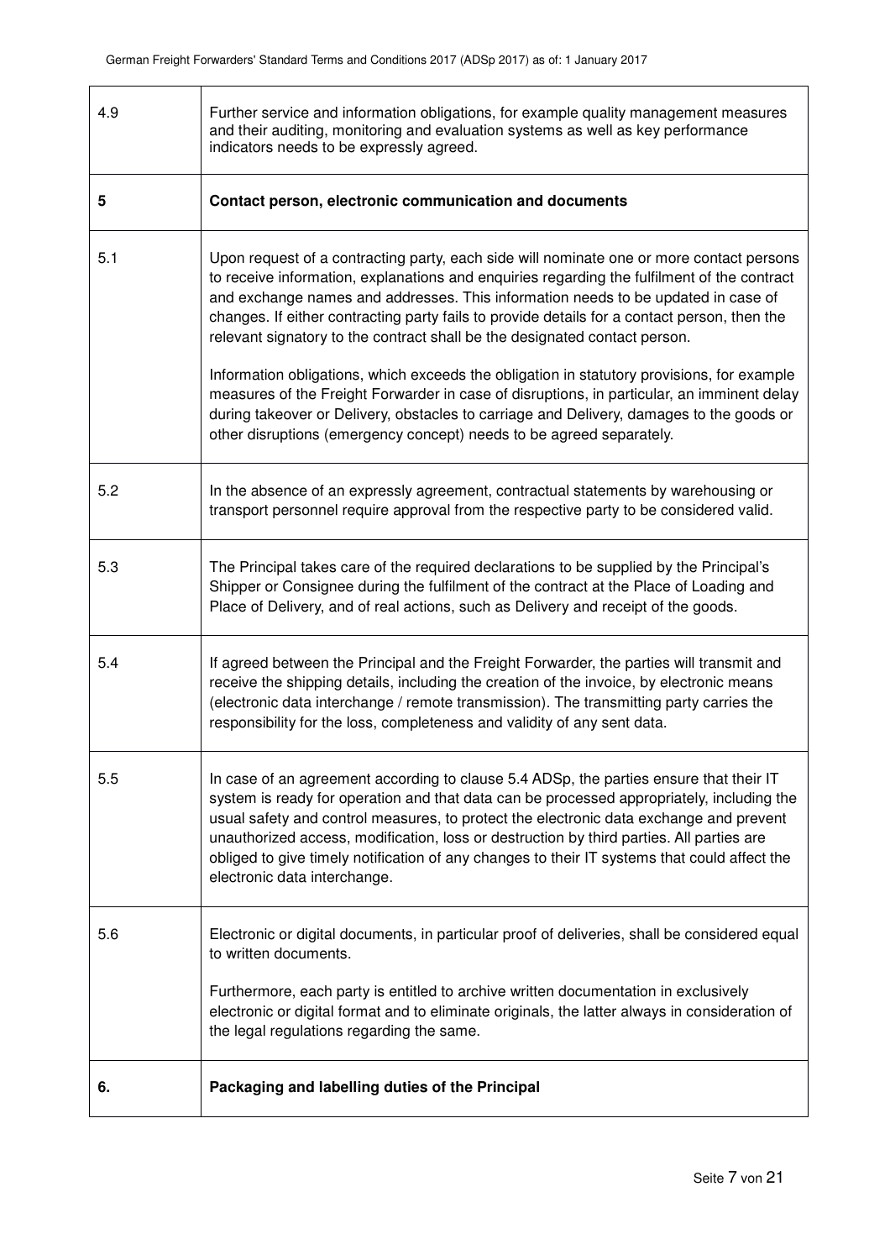| 4.9 | Further service and information obligations, for example quality management measures<br>and their auditing, monitoring and evaluation systems as well as key performance<br>indicators needs to be expressly agreed.                                                                                                                                                                                                                                                                                                                                                                                                                                                                                                                                                                                                       |
|-----|----------------------------------------------------------------------------------------------------------------------------------------------------------------------------------------------------------------------------------------------------------------------------------------------------------------------------------------------------------------------------------------------------------------------------------------------------------------------------------------------------------------------------------------------------------------------------------------------------------------------------------------------------------------------------------------------------------------------------------------------------------------------------------------------------------------------------|
| 5   | Contact person, electronic communication and documents                                                                                                                                                                                                                                                                                                                                                                                                                                                                                                                                                                                                                                                                                                                                                                     |
| 5.1 | Upon request of a contracting party, each side will nominate one or more contact persons<br>to receive information, explanations and enquiries regarding the fulfilment of the contract<br>and exchange names and addresses. This information needs to be updated in case of<br>changes. If either contracting party fails to provide details for a contact person, then the<br>relevant signatory to the contract shall be the designated contact person.<br>Information obligations, which exceeds the obligation in statutory provisions, for example<br>measures of the Freight Forwarder in case of disruptions, in particular, an imminent delay<br>during takeover or Delivery, obstacles to carriage and Delivery, damages to the goods or<br>other disruptions (emergency concept) needs to be agreed separately. |
| 5.2 | In the absence of an expressly agreement, contractual statements by warehousing or<br>transport personnel require approval from the respective party to be considered valid.                                                                                                                                                                                                                                                                                                                                                                                                                                                                                                                                                                                                                                               |
| 5.3 | The Principal takes care of the required declarations to be supplied by the Principal's<br>Shipper or Consignee during the fulfilment of the contract at the Place of Loading and<br>Place of Delivery, and of real actions, such as Delivery and receipt of the goods.                                                                                                                                                                                                                                                                                                                                                                                                                                                                                                                                                    |
| 5.4 | If agreed between the Principal and the Freight Forwarder, the parties will transmit and<br>receive the shipping details, including the creation of the invoice, by electronic means<br>(electronic data interchange / remote transmission). The transmitting party carries the<br>responsibility for the loss, completeness and validity of any sent data.                                                                                                                                                                                                                                                                                                                                                                                                                                                                |
| 5.5 | In case of an agreement according to clause 5.4 ADSp, the parties ensure that their IT<br>system is ready for operation and that data can be processed appropriately, including the<br>usual safety and control measures, to protect the electronic data exchange and prevent<br>unauthorized access, modification, loss or destruction by third parties. All parties are<br>obliged to give timely notification of any changes to their IT systems that could affect the<br>electronic data interchange.                                                                                                                                                                                                                                                                                                                  |
| 5.6 | Electronic or digital documents, in particular proof of deliveries, shall be considered equal<br>to written documents.<br>Furthermore, each party is entitled to archive written documentation in exclusively<br>electronic or digital format and to eliminate originals, the latter always in consideration of<br>the legal regulations regarding the same.                                                                                                                                                                                                                                                                                                                                                                                                                                                               |
| 6.  | Packaging and labelling duties of the Principal                                                                                                                                                                                                                                                                                                                                                                                                                                                                                                                                                                                                                                                                                                                                                                            |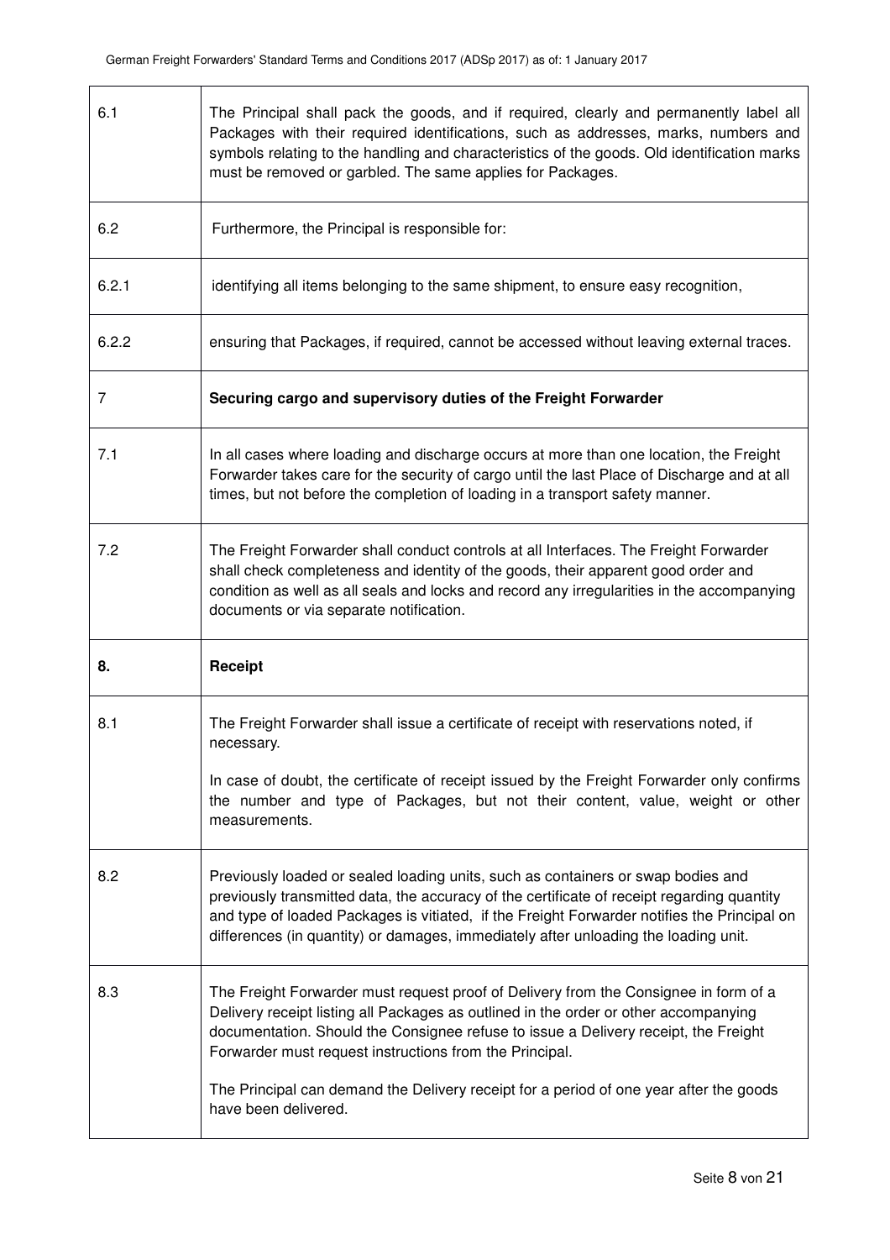| 6.1   | The Principal shall pack the goods, and if required, clearly and permanently label all<br>Packages with their required identifications, such as addresses, marks, numbers and<br>symbols relating to the handling and characteristics of the goods. Old identification marks<br>must be removed or garbled. The same applies for Packages.                           |
|-------|----------------------------------------------------------------------------------------------------------------------------------------------------------------------------------------------------------------------------------------------------------------------------------------------------------------------------------------------------------------------|
| 6.2   | Furthermore, the Principal is responsible for:                                                                                                                                                                                                                                                                                                                       |
| 6.2.1 | identifying all items belonging to the same shipment, to ensure easy recognition,                                                                                                                                                                                                                                                                                    |
| 6.2.2 | ensuring that Packages, if required, cannot be accessed without leaving external traces.                                                                                                                                                                                                                                                                             |
| 7     | Securing cargo and supervisory duties of the Freight Forwarder                                                                                                                                                                                                                                                                                                       |
| 7.1   | In all cases where loading and discharge occurs at more than one location, the Freight<br>Forwarder takes care for the security of cargo until the last Place of Discharge and at all<br>times, but not before the completion of loading in a transport safety manner.                                                                                               |
| 7.2   | The Freight Forwarder shall conduct controls at all Interfaces. The Freight Forwarder<br>shall check completeness and identity of the goods, their apparent good order and<br>condition as well as all seals and locks and record any irregularities in the accompanying<br>documents or via separate notification.                                                  |
| 8.    | Receipt                                                                                                                                                                                                                                                                                                                                                              |
| 8.1   | The Freight Forwarder shall issue a certificate of receipt with reservations noted, if<br>necessary.                                                                                                                                                                                                                                                                 |
|       | In case of doubt, the certificate of receipt issued by the Freight Forwarder only confirms<br>the number and type of Packages, but not their content, value, weight or other<br>measurements.                                                                                                                                                                        |
| 8.2   | Previously loaded or sealed loading units, such as containers or swap bodies and<br>previously transmitted data, the accuracy of the certificate of receipt regarding quantity<br>and type of loaded Packages is vitiated, if the Freight Forwarder notifies the Principal on<br>differences (in quantity) or damages, immediately after unloading the loading unit. |
| 8.3   | The Freight Forwarder must request proof of Delivery from the Consignee in form of a<br>Delivery receipt listing all Packages as outlined in the order or other accompanying<br>documentation. Should the Consignee refuse to issue a Delivery receipt, the Freight<br>Forwarder must request instructions from the Principal.                                       |
|       | The Principal can demand the Delivery receipt for a period of one year after the goods<br>have been delivered.                                                                                                                                                                                                                                                       |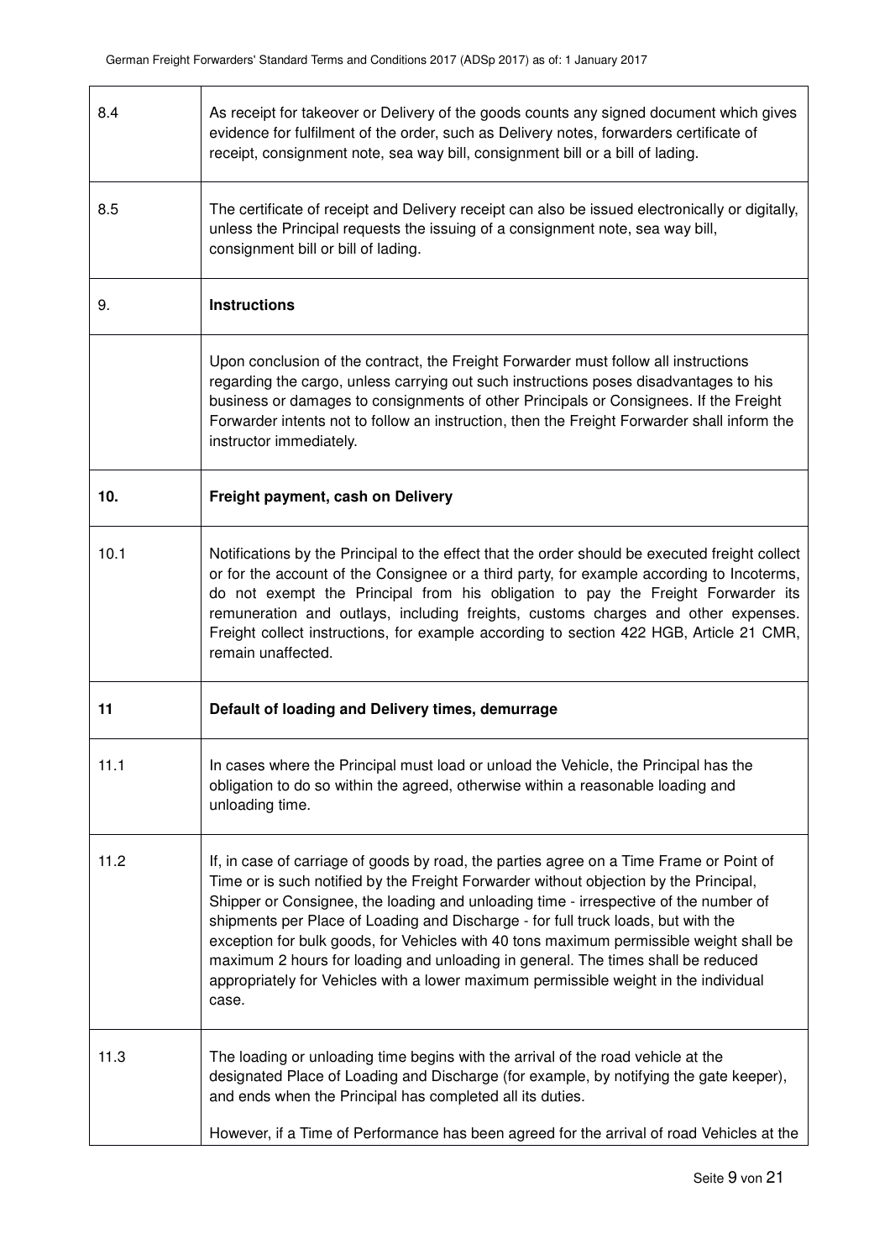r

| 8.4  | As receipt for takeover or Delivery of the goods counts any signed document which gives<br>evidence for fulfilment of the order, such as Delivery notes, forwarders certificate of<br>receipt, consignment note, sea way bill, consignment bill or a bill of lading.                                                                                                                                                                                                                                                                                                                                                                          |
|------|-----------------------------------------------------------------------------------------------------------------------------------------------------------------------------------------------------------------------------------------------------------------------------------------------------------------------------------------------------------------------------------------------------------------------------------------------------------------------------------------------------------------------------------------------------------------------------------------------------------------------------------------------|
| 8.5  | The certificate of receipt and Delivery receipt can also be issued electronically or digitally,<br>unless the Principal requests the issuing of a consignment note, sea way bill,<br>consignment bill or bill of lading.                                                                                                                                                                                                                                                                                                                                                                                                                      |
| 9.   | <b>Instructions</b>                                                                                                                                                                                                                                                                                                                                                                                                                                                                                                                                                                                                                           |
|      | Upon conclusion of the contract, the Freight Forwarder must follow all instructions<br>regarding the cargo, unless carrying out such instructions poses disadvantages to his<br>business or damages to consignments of other Principals or Consignees. If the Freight<br>Forwarder intents not to follow an instruction, then the Freight Forwarder shall inform the<br>instructor immediately.                                                                                                                                                                                                                                               |
| 10.  | Freight payment, cash on Delivery                                                                                                                                                                                                                                                                                                                                                                                                                                                                                                                                                                                                             |
| 10.1 | Notifications by the Principal to the effect that the order should be executed freight collect<br>or for the account of the Consignee or a third party, for example according to Incoterms,<br>do not exempt the Principal from his obligation to pay the Freight Forwarder its<br>remuneration and outlays, including freights, customs charges and other expenses.<br>Freight collect instructions, for example according to section 422 HGB, Article 21 CMR,<br>remain unaffected.                                                                                                                                                         |
| 11   | Default of loading and Delivery times, demurrage                                                                                                                                                                                                                                                                                                                                                                                                                                                                                                                                                                                              |
| 11.1 | In cases where the Principal must load or unload the Vehicle, the Principal has the<br>obligation to do so within the agreed, otherwise within a reasonable loading and<br>unloading time.                                                                                                                                                                                                                                                                                                                                                                                                                                                    |
| 11.2 | If, in case of carriage of goods by road, the parties agree on a Time Frame or Point of<br>Time or is such notified by the Freight Forwarder without objection by the Principal,<br>Shipper or Consignee, the loading and unloading time - irrespective of the number of<br>shipments per Place of Loading and Discharge - for full truck loads, but with the<br>exception for bulk goods, for Vehicles with 40 tons maximum permissible weight shall be<br>maximum 2 hours for loading and unloading in general. The times shall be reduced<br>appropriately for Vehicles with a lower maximum permissible weight in the individual<br>case. |
| 11.3 | The loading or unloading time begins with the arrival of the road vehicle at the<br>designated Place of Loading and Discharge (for example, by notifying the gate keeper),<br>and ends when the Principal has completed all its duties.<br>However, if a Time of Performance has been agreed for the arrival of road Vehicles at the                                                                                                                                                                                                                                                                                                          |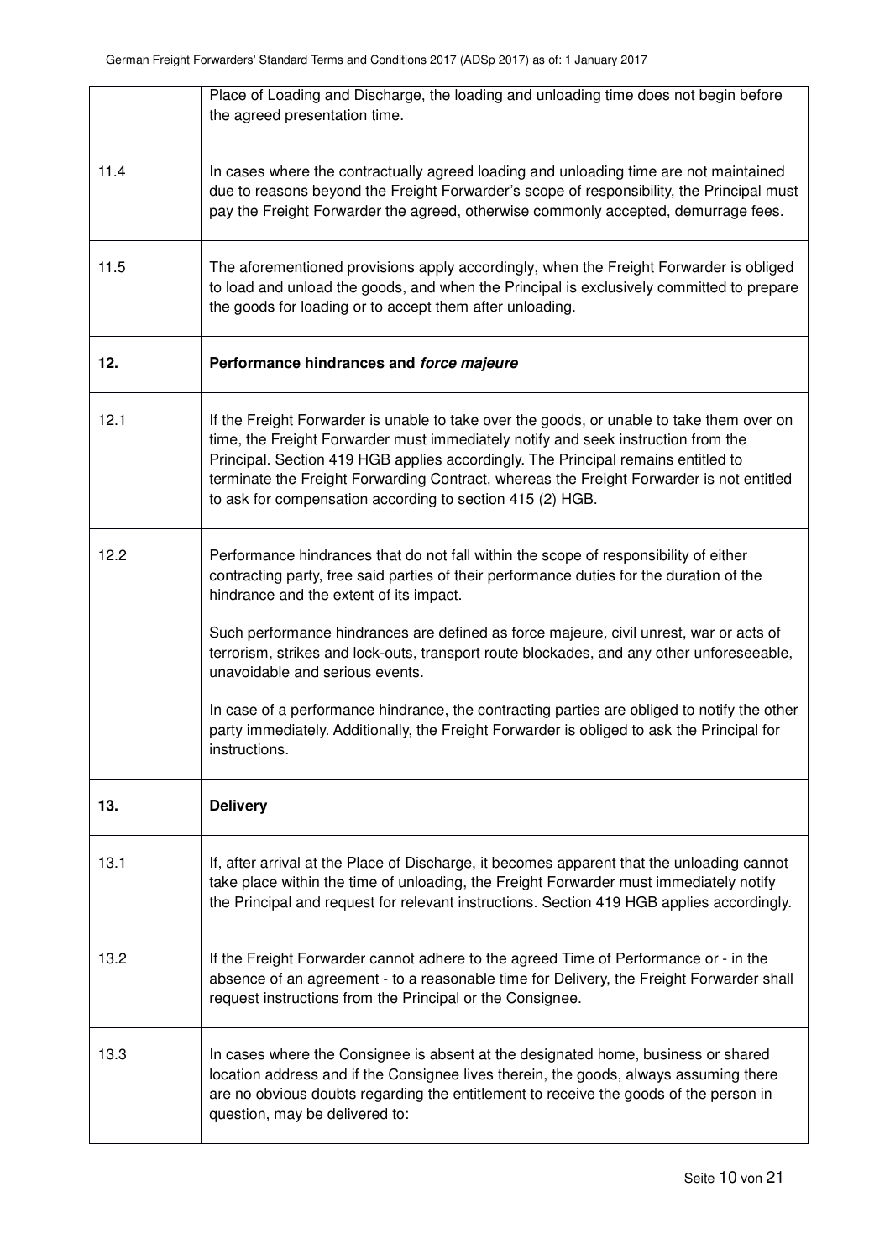|      | Place of Loading and Discharge, the loading and unloading time does not begin before<br>the agreed presentation time.                                                                                                                                                                                                                                                                                                        |
|------|------------------------------------------------------------------------------------------------------------------------------------------------------------------------------------------------------------------------------------------------------------------------------------------------------------------------------------------------------------------------------------------------------------------------------|
| 11.4 | In cases where the contractually agreed loading and unloading time are not maintained<br>due to reasons beyond the Freight Forwarder's scope of responsibility, the Principal must<br>pay the Freight Forwarder the agreed, otherwise commonly accepted, demurrage fees.                                                                                                                                                     |
| 11.5 | The aforementioned provisions apply accordingly, when the Freight Forwarder is obliged<br>to load and unload the goods, and when the Principal is exclusively committed to prepare<br>the goods for loading or to accept them after unloading.                                                                                                                                                                               |
| 12.  | Performance hindrances and force majeure                                                                                                                                                                                                                                                                                                                                                                                     |
| 12.1 | If the Freight Forwarder is unable to take over the goods, or unable to take them over on<br>time, the Freight Forwarder must immediately notify and seek instruction from the<br>Principal. Section 419 HGB applies accordingly. The Principal remains entitled to<br>terminate the Freight Forwarding Contract, whereas the Freight Forwarder is not entitled<br>to ask for compensation according to section 415 (2) HGB. |
| 12.2 | Performance hindrances that do not fall within the scope of responsibility of either<br>contracting party, free said parties of their performance duties for the duration of the<br>hindrance and the extent of its impact.                                                                                                                                                                                                  |
|      | Such performance hindrances are defined as force majeure, civil unrest, war or acts of<br>terrorism, strikes and lock-outs, transport route blockades, and any other unforeseeable,<br>unavoidable and serious events.                                                                                                                                                                                                       |
|      | In case of a performance hindrance, the contracting parties are obliged to notify the other<br>party immediately. Additionally, the Freight Forwarder is obliged to ask the Principal for<br>instructions.                                                                                                                                                                                                                   |
| 13.  | <b>Delivery</b>                                                                                                                                                                                                                                                                                                                                                                                                              |
| 13.1 | If, after arrival at the Place of Discharge, it becomes apparent that the unloading cannot<br>take place within the time of unloading, the Freight Forwarder must immediately notify<br>the Principal and request for relevant instructions. Section 419 HGB applies accordingly.                                                                                                                                            |
| 13.2 | If the Freight Forwarder cannot adhere to the agreed Time of Performance or - in the<br>absence of an agreement - to a reasonable time for Delivery, the Freight Forwarder shall<br>request instructions from the Principal or the Consignee.                                                                                                                                                                                |
| 13.3 | In cases where the Consignee is absent at the designated home, business or shared<br>location address and if the Consignee lives therein, the goods, always assuming there<br>are no obvious doubts regarding the entitlement to receive the goods of the person in<br>question, may be delivered to:                                                                                                                        |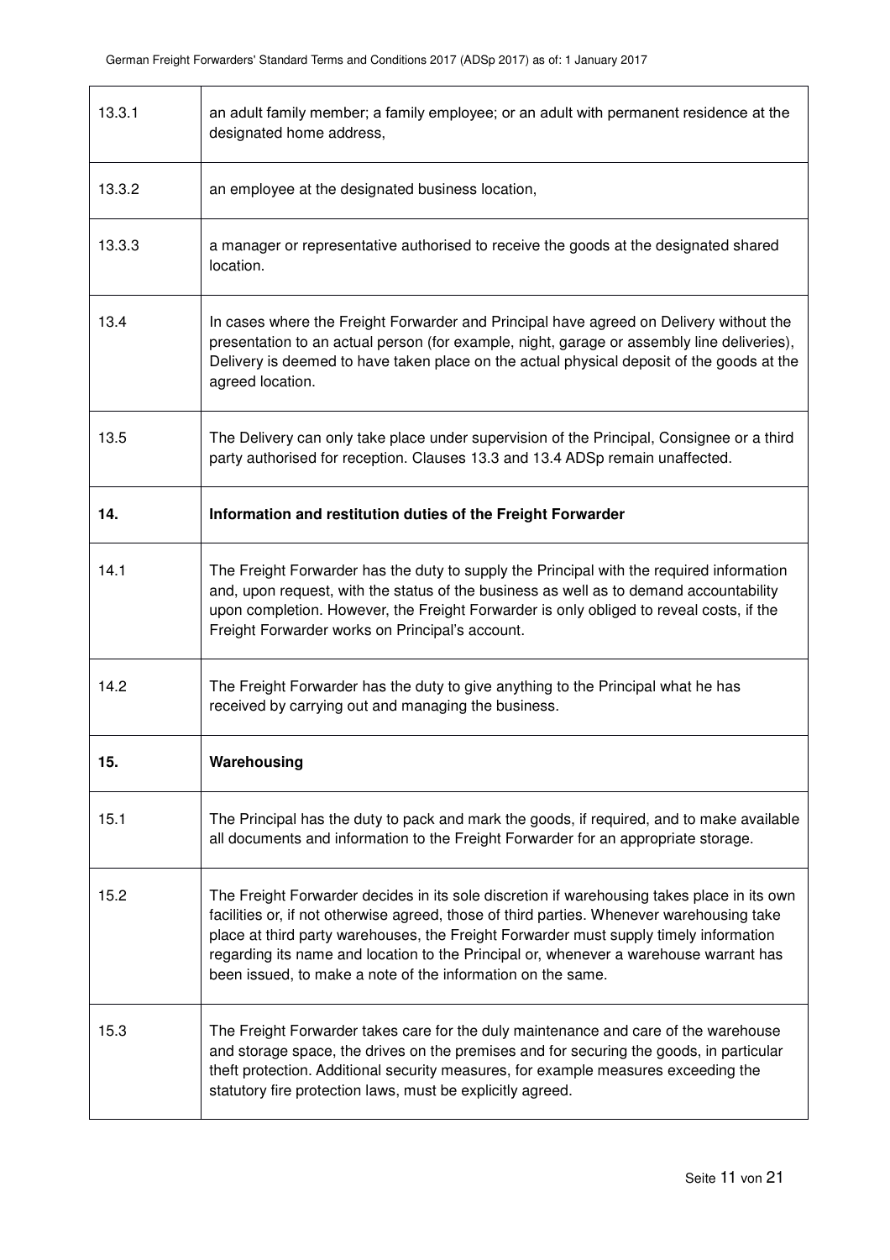| 13.3.1 | an adult family member; a family employee; or an adult with permanent residence at the<br>designated home address,                                                                                                                                                                                                                                                                                                                       |
|--------|------------------------------------------------------------------------------------------------------------------------------------------------------------------------------------------------------------------------------------------------------------------------------------------------------------------------------------------------------------------------------------------------------------------------------------------|
| 13.3.2 | an employee at the designated business location,                                                                                                                                                                                                                                                                                                                                                                                         |
| 13.3.3 | a manager or representative authorised to receive the goods at the designated shared<br>location.                                                                                                                                                                                                                                                                                                                                        |
| 13.4   | In cases where the Freight Forwarder and Principal have agreed on Delivery without the<br>presentation to an actual person (for example, night, garage or assembly line deliveries),<br>Delivery is deemed to have taken place on the actual physical deposit of the goods at the<br>agreed location.                                                                                                                                    |
| 13.5   | The Delivery can only take place under supervision of the Principal, Consignee or a third<br>party authorised for reception. Clauses 13.3 and 13.4 ADSp remain unaffected.                                                                                                                                                                                                                                                               |
| 14.    | Information and restitution duties of the Freight Forwarder                                                                                                                                                                                                                                                                                                                                                                              |
| 14.1   | The Freight Forwarder has the duty to supply the Principal with the required information<br>and, upon request, with the status of the business as well as to demand accountability<br>upon completion. However, the Freight Forwarder is only obliged to reveal costs, if the<br>Freight Forwarder works on Principal's account.                                                                                                         |
| 14.2   | The Freight Forwarder has the duty to give anything to the Principal what he has<br>received by carrying out and managing the business.                                                                                                                                                                                                                                                                                                  |
| 15.    | Warehousing                                                                                                                                                                                                                                                                                                                                                                                                                              |
| 15.1   | The Principal has the duty to pack and mark the goods, if required, and to make available<br>all documents and information to the Freight Forwarder for an appropriate storage.                                                                                                                                                                                                                                                          |
| 15.2   | The Freight Forwarder decides in its sole discretion if warehousing takes place in its own<br>facilities or, if not otherwise agreed, those of third parties. Whenever warehousing take<br>place at third party warehouses, the Freight Forwarder must supply timely information<br>regarding its name and location to the Principal or, whenever a warehouse warrant has<br>been issued, to make a note of the information on the same. |
| 15.3   | The Freight Forwarder takes care for the duly maintenance and care of the warehouse<br>and storage space, the drives on the premises and for securing the goods, in particular<br>theft protection. Additional security measures, for example measures exceeding the<br>statutory fire protection laws, must be explicitly agreed.                                                                                                       |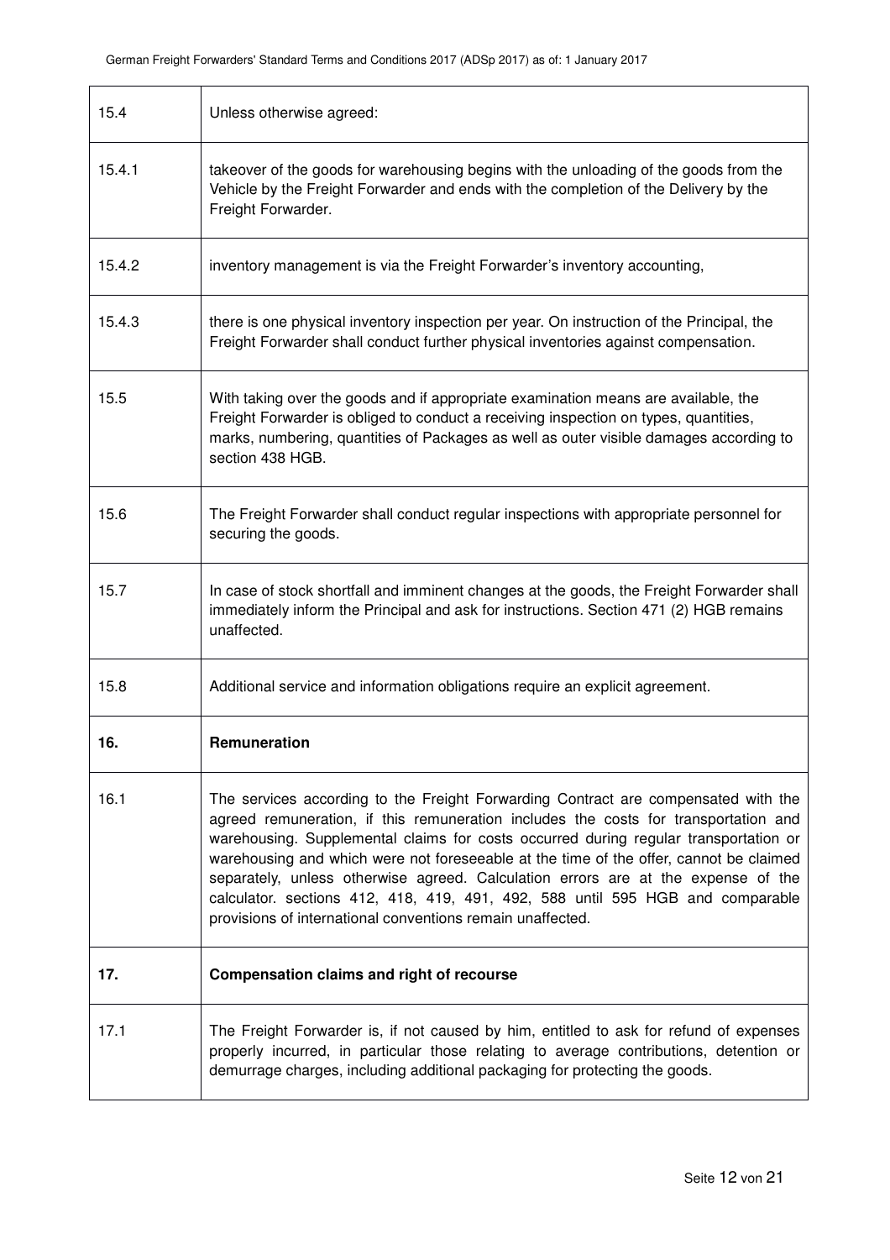| 15.4   | Unless otherwise agreed:                                                                                                                                                                                                                                                                                                                                                                                                                                                                                                                                                                         |
|--------|--------------------------------------------------------------------------------------------------------------------------------------------------------------------------------------------------------------------------------------------------------------------------------------------------------------------------------------------------------------------------------------------------------------------------------------------------------------------------------------------------------------------------------------------------------------------------------------------------|
| 15.4.1 | takeover of the goods for warehousing begins with the unloading of the goods from the<br>Vehicle by the Freight Forwarder and ends with the completion of the Delivery by the<br>Freight Forwarder.                                                                                                                                                                                                                                                                                                                                                                                              |
| 15.4.2 | inventory management is via the Freight Forwarder's inventory accounting,                                                                                                                                                                                                                                                                                                                                                                                                                                                                                                                        |
| 15.4.3 | there is one physical inventory inspection per year. On instruction of the Principal, the<br>Freight Forwarder shall conduct further physical inventories against compensation.                                                                                                                                                                                                                                                                                                                                                                                                                  |
| 15.5   | With taking over the goods and if appropriate examination means are available, the<br>Freight Forwarder is obliged to conduct a receiving inspection on types, quantities,<br>marks, numbering, quantities of Packages as well as outer visible damages according to<br>section 438 HGB.                                                                                                                                                                                                                                                                                                         |
| 15.6   | The Freight Forwarder shall conduct regular inspections with appropriate personnel for<br>securing the goods.                                                                                                                                                                                                                                                                                                                                                                                                                                                                                    |
| 15.7   | In case of stock shortfall and imminent changes at the goods, the Freight Forwarder shall<br>immediately inform the Principal and ask for instructions. Section 471 (2) HGB remains<br>unaffected.                                                                                                                                                                                                                                                                                                                                                                                               |
| 15.8   | Additional service and information obligations require an explicit agreement.                                                                                                                                                                                                                                                                                                                                                                                                                                                                                                                    |
| 16.    | Remuneration                                                                                                                                                                                                                                                                                                                                                                                                                                                                                                                                                                                     |
| 16.1   | The services according to the Freight Forwarding Contract are compensated with the<br>agreed remuneration, if this remuneration includes the costs for transportation and<br>warehousing. Supplemental claims for costs occurred during regular transportation or<br>warehousing and which were not foreseeable at the time of the offer, cannot be claimed<br>separately, unless otherwise agreed. Calculation errors are at the expense of the<br>calculator. sections 412, 418, 419, 491, 492, 588 until 595 HGB and comparable<br>provisions of international conventions remain unaffected. |
| 17.    | <b>Compensation claims and right of recourse</b>                                                                                                                                                                                                                                                                                                                                                                                                                                                                                                                                                 |
| 17.1   | The Freight Forwarder is, if not caused by him, entitled to ask for refund of expenses<br>properly incurred, in particular those relating to average contributions, detention or<br>demurrage charges, including additional packaging for protecting the goods.                                                                                                                                                                                                                                                                                                                                  |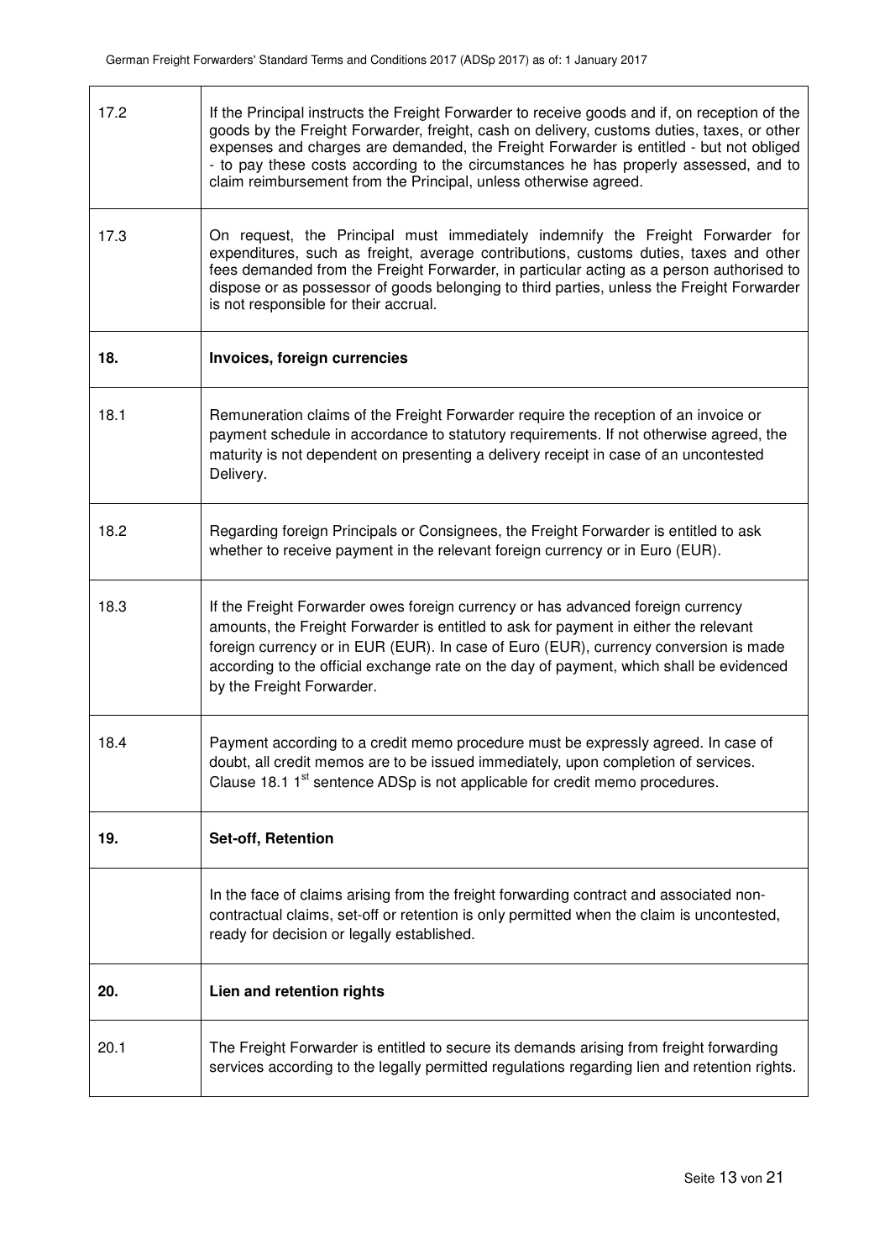| 17.2 | If the Principal instructs the Freight Forwarder to receive goods and if, on reception of the<br>goods by the Freight Forwarder, freight, cash on delivery, customs duties, taxes, or other<br>expenses and charges are demanded, the Freight Forwarder is entitled - but not obliged<br>- to pay these costs according to the circumstances he has properly assessed, and to<br>claim reimbursement from the Principal, unless otherwise agreed. |
|------|---------------------------------------------------------------------------------------------------------------------------------------------------------------------------------------------------------------------------------------------------------------------------------------------------------------------------------------------------------------------------------------------------------------------------------------------------|
| 17.3 | On request, the Principal must immediately indemnify the Freight Forwarder for<br>expenditures, such as freight, average contributions, customs duties, taxes and other<br>fees demanded from the Freight Forwarder, in particular acting as a person authorised to<br>dispose or as possessor of goods belonging to third parties, unless the Freight Forwarder<br>is not responsible for their accrual.                                         |
| 18.  | Invoices, foreign currencies                                                                                                                                                                                                                                                                                                                                                                                                                      |
| 18.1 | Remuneration claims of the Freight Forwarder require the reception of an invoice or<br>payment schedule in accordance to statutory requirements. If not otherwise agreed, the<br>maturity is not dependent on presenting a delivery receipt in case of an uncontested<br>Delivery.                                                                                                                                                                |
| 18.2 | Regarding foreign Principals or Consignees, the Freight Forwarder is entitled to ask<br>whether to receive payment in the relevant foreign currency or in Euro (EUR).                                                                                                                                                                                                                                                                             |
| 18.3 | If the Freight Forwarder owes foreign currency or has advanced foreign currency<br>amounts, the Freight Forwarder is entitled to ask for payment in either the relevant<br>foreign currency or in EUR (EUR). In case of Euro (EUR), currency conversion is made<br>according to the official exchange rate on the day of payment, which shall be evidenced<br>by the Freight Forwarder.                                                           |
| 18.4 | Payment according to a credit memo procedure must be expressly agreed. In case of<br>doubt, all credit memos are to be issued immediately, upon completion of services.<br>Clause 18.1 1 <sup>st</sup> sentence ADSp is not applicable for credit memo procedures.                                                                                                                                                                                |
| 19.  | Set-off, Retention                                                                                                                                                                                                                                                                                                                                                                                                                                |
|      | In the face of claims arising from the freight forwarding contract and associated non-<br>contractual claims, set-off or retention is only permitted when the claim is uncontested,<br>ready for decision or legally established.                                                                                                                                                                                                                 |
| 20.  | Lien and retention rights                                                                                                                                                                                                                                                                                                                                                                                                                         |
| 20.1 | The Freight Forwarder is entitled to secure its demands arising from freight forwarding<br>services according to the legally permitted regulations regarding lien and retention rights.                                                                                                                                                                                                                                                           |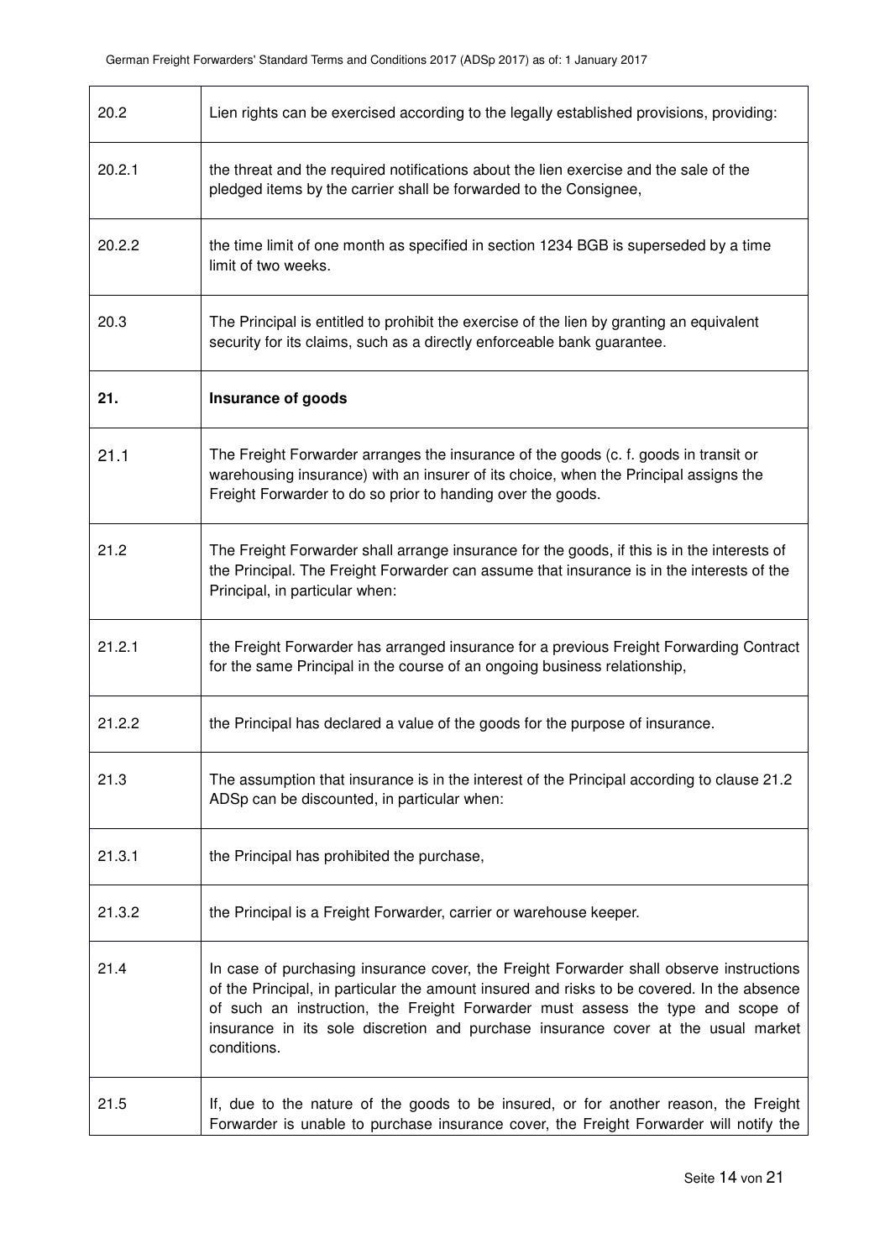| 20.2   | Lien rights can be exercised according to the legally established provisions, providing:                                                                                                                                                                                                                                                                                     |
|--------|------------------------------------------------------------------------------------------------------------------------------------------------------------------------------------------------------------------------------------------------------------------------------------------------------------------------------------------------------------------------------|
| 20.2.1 | the threat and the required notifications about the lien exercise and the sale of the<br>pledged items by the carrier shall be forwarded to the Consignee,                                                                                                                                                                                                                   |
| 20.2.2 | the time limit of one month as specified in section 1234 BGB is superseded by a time<br>limit of two weeks.                                                                                                                                                                                                                                                                  |
| 20.3   | The Principal is entitled to prohibit the exercise of the lien by granting an equivalent<br>security for its claims, such as a directly enforceable bank guarantee.                                                                                                                                                                                                          |
| 21.    | Insurance of goods                                                                                                                                                                                                                                                                                                                                                           |
| 21.1   | The Freight Forwarder arranges the insurance of the goods (c. f. goods in transit or<br>warehousing insurance) with an insurer of its choice, when the Principal assigns the<br>Freight Forwarder to do so prior to handing over the goods.                                                                                                                                  |
| 21.2   | The Freight Forwarder shall arrange insurance for the goods, if this is in the interests of<br>the Principal. The Freight Forwarder can assume that insurance is in the interests of the<br>Principal, in particular when:                                                                                                                                                   |
| 21.2.1 | the Freight Forwarder has arranged insurance for a previous Freight Forwarding Contract<br>for the same Principal in the course of an ongoing business relationship,                                                                                                                                                                                                         |
| 21.2.2 | the Principal has declared a value of the goods for the purpose of insurance.                                                                                                                                                                                                                                                                                                |
| 21.3   | The assumption that insurance is in the interest of the Principal according to clause 21.2<br>ADSp can be discounted, in particular when:                                                                                                                                                                                                                                    |
| 21.3.1 | the Principal has prohibited the purchase,                                                                                                                                                                                                                                                                                                                                   |
| 21.3.2 | the Principal is a Freight Forwarder, carrier or warehouse keeper.                                                                                                                                                                                                                                                                                                           |
| 21.4   | In case of purchasing insurance cover, the Freight Forwarder shall observe instructions<br>of the Principal, in particular the amount insured and risks to be covered. In the absence<br>of such an instruction, the Freight Forwarder must assess the type and scope of<br>insurance in its sole discretion and purchase insurance cover at the usual market<br>conditions. |
| 21.5   | If, due to the nature of the goods to be insured, or for another reason, the Freight<br>Forwarder is unable to purchase insurance cover, the Freight Forwarder will notify the                                                                                                                                                                                               |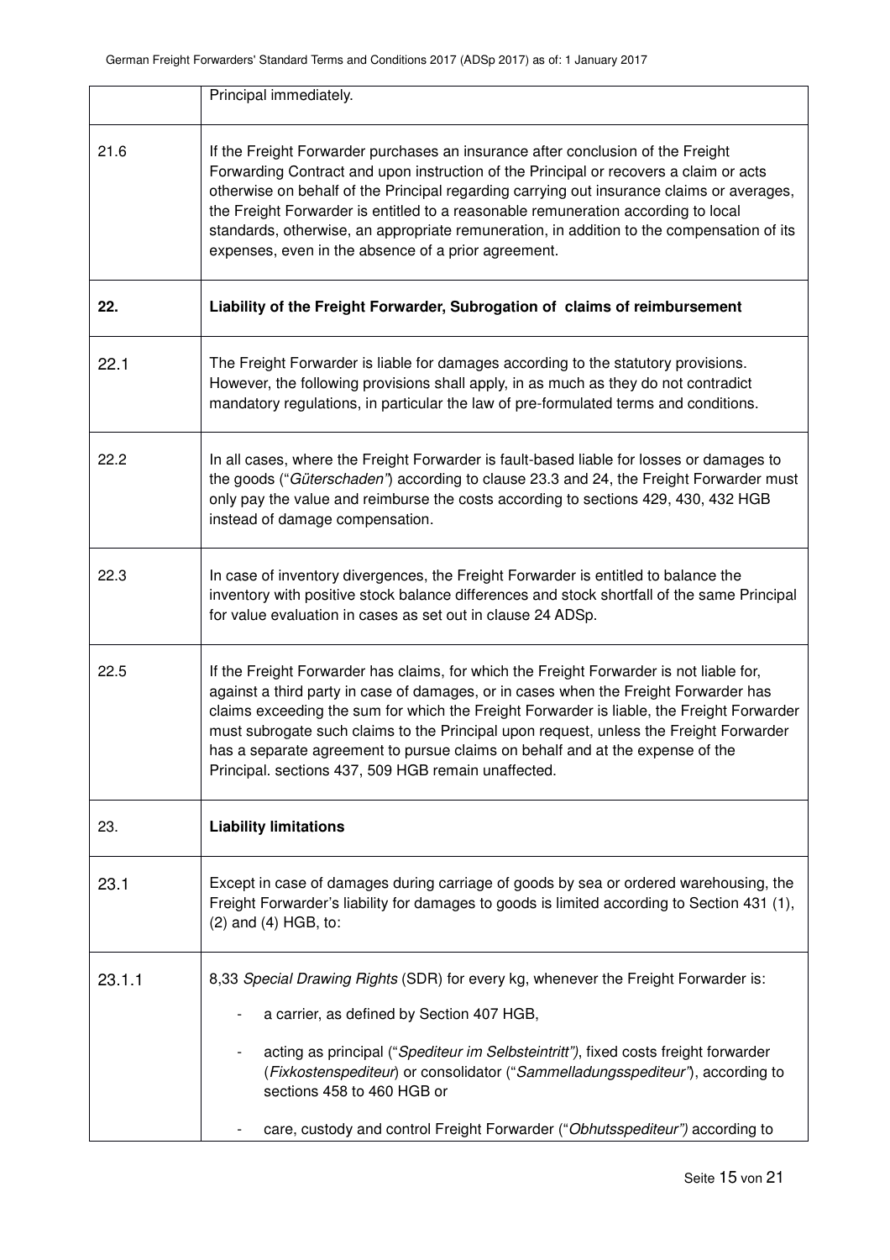|        | Principal immediately.                                                                                                                                                                                                                                                                                                                                                                                                                                                                                         |
|--------|----------------------------------------------------------------------------------------------------------------------------------------------------------------------------------------------------------------------------------------------------------------------------------------------------------------------------------------------------------------------------------------------------------------------------------------------------------------------------------------------------------------|
| 21.6   | If the Freight Forwarder purchases an insurance after conclusion of the Freight<br>Forwarding Contract and upon instruction of the Principal or recovers a claim or acts<br>otherwise on behalf of the Principal regarding carrying out insurance claims or averages,<br>the Freight Forwarder is entitled to a reasonable remuneration according to local<br>standards, otherwise, an appropriate remuneration, in addition to the compensation of its<br>expenses, even in the absence of a prior agreement. |
| 22.    | Liability of the Freight Forwarder, Subrogation of claims of reimbursement                                                                                                                                                                                                                                                                                                                                                                                                                                     |
| 22.1   | The Freight Forwarder is liable for damages according to the statutory provisions.<br>However, the following provisions shall apply, in as much as they do not contradict<br>mandatory regulations, in particular the law of pre-formulated terms and conditions.                                                                                                                                                                                                                                              |
| 22.2   | In all cases, where the Freight Forwarder is fault-based liable for losses or damages to<br>the goods ("Güterschaden") according to clause 23.3 and 24, the Freight Forwarder must<br>only pay the value and reimburse the costs according to sections 429, 430, 432 HGB<br>instead of damage compensation.                                                                                                                                                                                                    |
| 22.3   | In case of inventory divergences, the Freight Forwarder is entitled to balance the<br>inventory with positive stock balance differences and stock shortfall of the same Principal<br>for value evaluation in cases as set out in clause 24 ADSp.                                                                                                                                                                                                                                                               |
| 22.5   | If the Freight Forwarder has claims, for which the Freight Forwarder is not liable for,<br>against a third party in case of damages, or in cases when the Freight Forwarder has<br>claims exceeding the sum for which the Freight Forwarder is liable, the Freight Forwarder<br>must subrogate such claims to the Principal upon request, unless the Freight Forwarder<br>has a separate agreement to pursue claims on behalf and at the expense of the<br>Principal. sections 437, 509 HGB remain unaffected. |
| 23.    | <b>Liability limitations</b>                                                                                                                                                                                                                                                                                                                                                                                                                                                                                   |
| 23.1   | Except in case of damages during carriage of goods by sea or ordered warehousing, the<br>Freight Forwarder's liability for damages to goods is limited according to Section 431 (1),<br>$(2)$ and $(4)$ HGB, to:                                                                                                                                                                                                                                                                                               |
| 23.1.1 | 8,33 Special Drawing Rights (SDR) for every kg, whenever the Freight Forwarder is:                                                                                                                                                                                                                                                                                                                                                                                                                             |
|        | a carrier, as defined by Section 407 HGB,                                                                                                                                                                                                                                                                                                                                                                                                                                                                      |
|        | acting as principal ("Spediteur im Selbsteintritt"), fixed costs freight forwarder<br>(Fixkostenspediteur) or consolidator ("Sammelladungsspediteur"), according to<br>sections 458 to 460 HGB or                                                                                                                                                                                                                                                                                                              |
|        | care, custody and control Freight Forwarder ("Obhutsspediteur") according to                                                                                                                                                                                                                                                                                                                                                                                                                                   |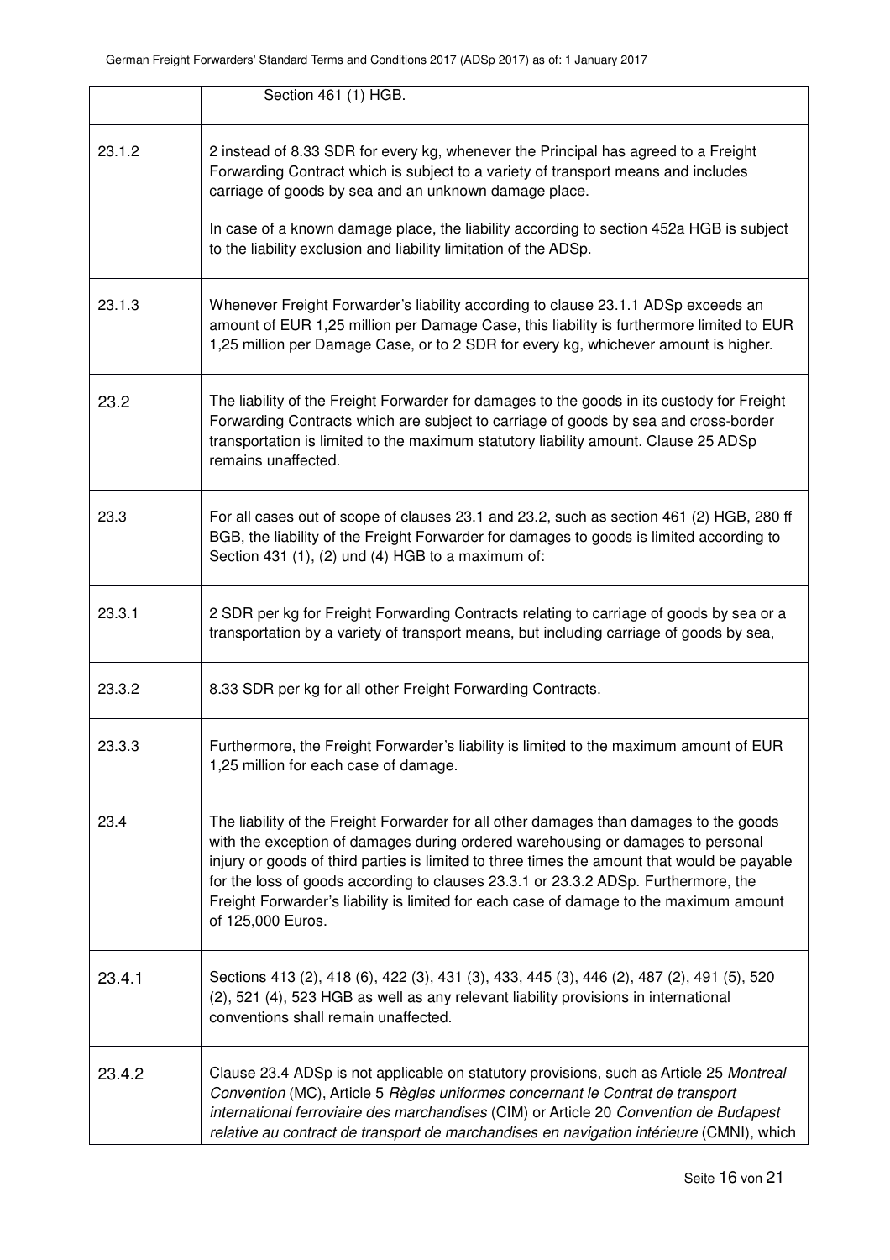|        | Section 461 (1) HGB.                                                                                                                                                                                                                                                                                                                                                                                                                                                          |
|--------|-------------------------------------------------------------------------------------------------------------------------------------------------------------------------------------------------------------------------------------------------------------------------------------------------------------------------------------------------------------------------------------------------------------------------------------------------------------------------------|
| 23.1.2 | 2 instead of 8.33 SDR for every kg, whenever the Principal has agreed to a Freight<br>Forwarding Contract which is subject to a variety of transport means and includes<br>carriage of goods by sea and an unknown damage place.<br>In case of a known damage place, the liability according to section 452a HGB is subject<br>to the liability exclusion and liability limitation of the ADSp.                                                                               |
| 23.1.3 | Whenever Freight Forwarder's liability according to clause 23.1.1 ADSp exceeds an<br>amount of EUR 1,25 million per Damage Case, this liability is furthermore limited to EUR<br>1,25 million per Damage Case, or to 2 SDR for every kg, whichever amount is higher.                                                                                                                                                                                                          |
| 23.2   | The liability of the Freight Forwarder for damages to the goods in its custody for Freight<br>Forwarding Contracts which are subject to carriage of goods by sea and cross-border<br>transportation is limited to the maximum statutory liability amount. Clause 25 ADSp<br>remains unaffected.                                                                                                                                                                               |
| 23.3   | For all cases out of scope of clauses 23.1 and 23.2, such as section 461 (2) HGB, 280 ff<br>BGB, the liability of the Freight Forwarder for damages to goods is limited according to<br>Section 431 (1), (2) und (4) HGB to a maximum of:                                                                                                                                                                                                                                     |
| 23.3.1 | 2 SDR per kg for Freight Forwarding Contracts relating to carriage of goods by sea or a<br>transportation by a variety of transport means, but including carriage of goods by sea,                                                                                                                                                                                                                                                                                            |
| 23.3.2 | 8.33 SDR per kg for all other Freight Forwarding Contracts.                                                                                                                                                                                                                                                                                                                                                                                                                   |
| 23.3.3 | Furthermore, the Freight Forwarder's liability is limited to the maximum amount of EUR<br>1,25 million for each case of damage.                                                                                                                                                                                                                                                                                                                                               |
| 23.4   | The liability of the Freight Forwarder for all other damages than damages to the goods<br>with the exception of damages during ordered warehousing or damages to personal<br>injury or goods of third parties is limited to three times the amount that would be payable<br>for the loss of goods according to clauses 23.3.1 or 23.3.2 ADSp. Furthermore, the<br>Freight Forwarder's liability is limited for each case of damage to the maximum amount<br>of 125,000 Euros. |
| 23.4.1 | Sections 413 (2), 418 (6), 422 (3), 431 (3), 433, 445 (3), 446 (2), 487 (2), 491 (5), 520<br>(2), 521 (4), 523 HGB as well as any relevant liability provisions in international<br>conventions shall remain unaffected.                                                                                                                                                                                                                                                      |
| 23.4.2 | Clause 23.4 ADSp is not applicable on statutory provisions, such as Article 25 Montreal<br>Convention (MC), Article 5 Règles uniformes concernant le Contrat de transport<br>international ferroviaire des marchandises (CIM) or Article 20 Convention de Budapest<br>relative au contract de transport de marchandises en navigation intérieure (CMNI), which                                                                                                                |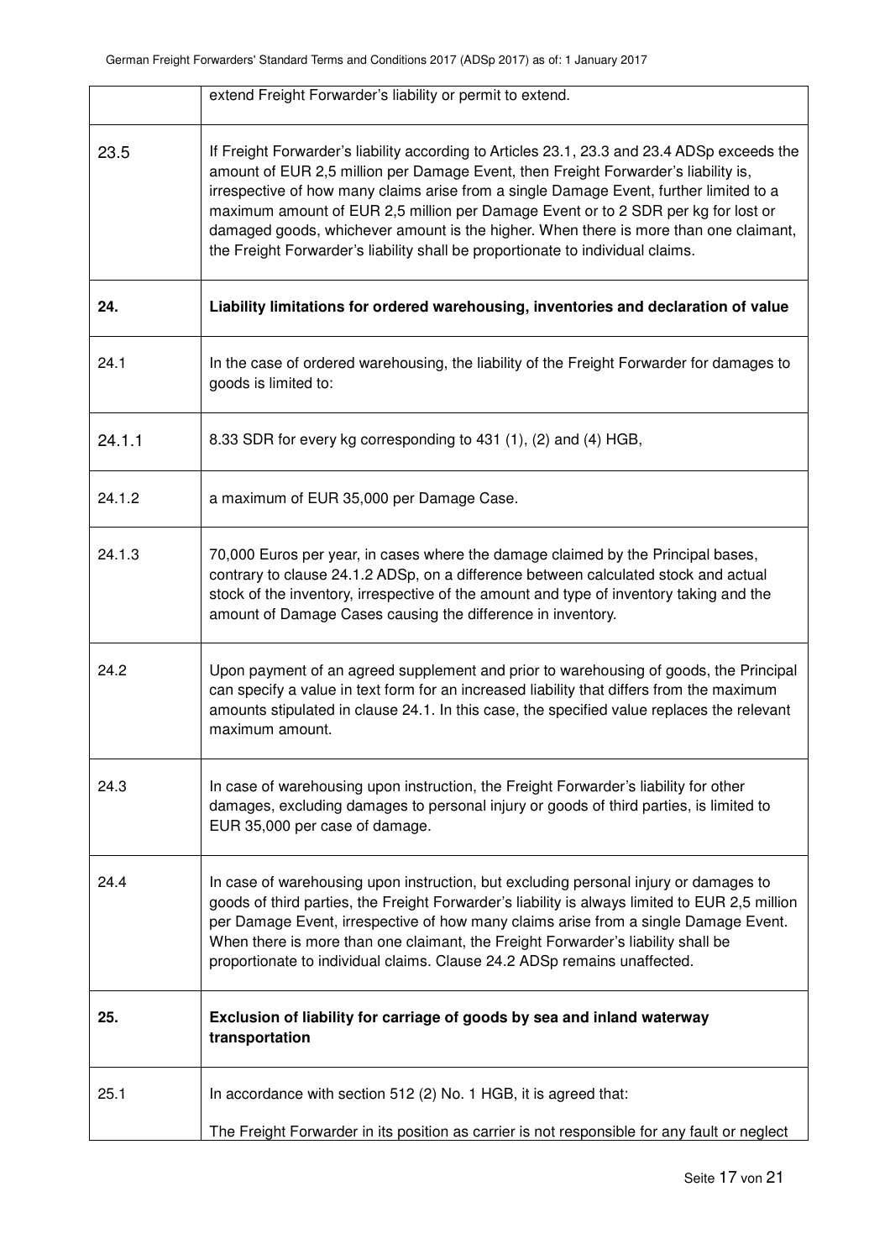|        | extend Freight Forwarder's liability or permit to extend.                                                                                                                                                                                                                                                                                                                                                                                                                                                                                  |
|--------|--------------------------------------------------------------------------------------------------------------------------------------------------------------------------------------------------------------------------------------------------------------------------------------------------------------------------------------------------------------------------------------------------------------------------------------------------------------------------------------------------------------------------------------------|
| 23.5   | If Freight Forwarder's liability according to Articles 23.1, 23.3 and 23.4 ADSp exceeds the<br>amount of EUR 2,5 million per Damage Event, then Freight Forwarder's liability is,<br>irrespective of how many claims arise from a single Damage Event, further limited to a<br>maximum amount of EUR 2,5 million per Damage Event or to 2 SDR per kg for lost or<br>damaged goods, whichever amount is the higher. When there is more than one claimant,<br>the Freight Forwarder's liability shall be proportionate to individual claims. |
| 24.    | Liability limitations for ordered warehousing, inventories and declaration of value                                                                                                                                                                                                                                                                                                                                                                                                                                                        |
| 24.1   | In the case of ordered warehousing, the liability of the Freight Forwarder for damages to<br>goods is limited to:                                                                                                                                                                                                                                                                                                                                                                                                                          |
| 24.1.1 | 8.33 SDR for every kg corresponding to 431 (1), (2) and (4) HGB,                                                                                                                                                                                                                                                                                                                                                                                                                                                                           |
| 24.1.2 | a maximum of EUR 35,000 per Damage Case.                                                                                                                                                                                                                                                                                                                                                                                                                                                                                                   |
| 24.1.3 | 70,000 Euros per year, in cases where the damage claimed by the Principal bases,<br>contrary to clause 24.1.2 ADSp, on a difference between calculated stock and actual<br>stock of the inventory, irrespective of the amount and type of inventory taking and the<br>amount of Damage Cases causing the difference in inventory.                                                                                                                                                                                                          |
| 24.2   | Upon payment of an agreed supplement and prior to warehousing of goods, the Principal<br>can specify a value in text form for an increased liability that differs from the maximum<br>amounts stipulated in clause 24.1. In this case, the specified value replaces the relevant<br>maximum amount.                                                                                                                                                                                                                                        |
| 24.3   | In case of warehousing upon instruction, the Freight Forwarder's liability for other<br>damages, excluding damages to personal injury or goods of third parties, is limited to<br>EUR 35,000 per case of damage.                                                                                                                                                                                                                                                                                                                           |
| 24.4   | In case of warehousing upon instruction, but excluding personal injury or damages to<br>goods of third parties, the Freight Forwarder's liability is always limited to EUR 2,5 million<br>per Damage Event, irrespective of how many claims arise from a single Damage Event.<br>When there is more than one claimant, the Freight Forwarder's liability shall be<br>proportionate to individual claims. Clause 24.2 ADSp remains unaffected.                                                                                              |
| 25.    | Exclusion of liability for carriage of goods by sea and inland waterway<br>transportation                                                                                                                                                                                                                                                                                                                                                                                                                                                  |
| 25.1   | In accordance with section 512 (2) No. 1 HGB, it is agreed that:                                                                                                                                                                                                                                                                                                                                                                                                                                                                           |
|        | The Freight Forwarder in its position as carrier is not responsible for any fault or neglect                                                                                                                                                                                                                                                                                                                                                                                                                                               |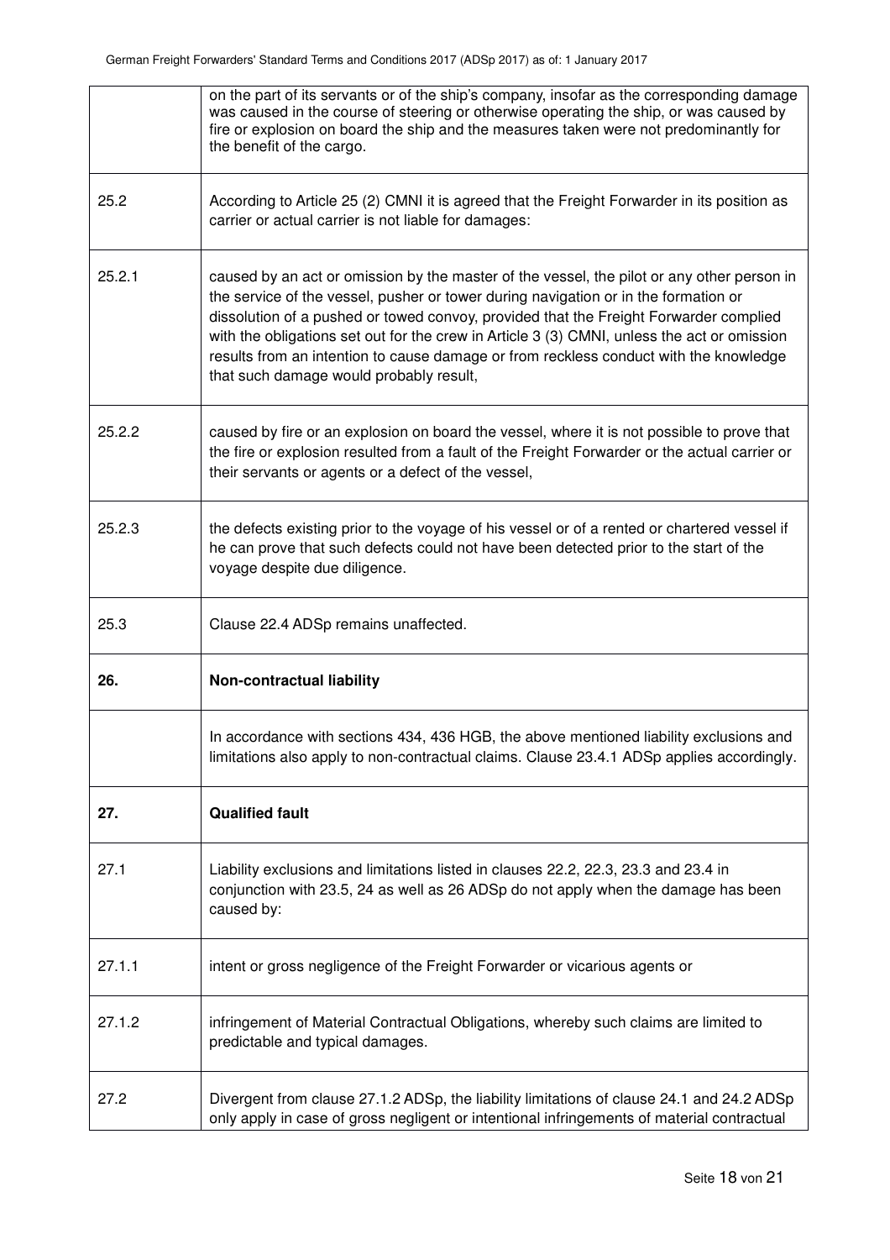|        | on the part of its servants or of the ship's company, insofar as the corresponding damage<br>was caused in the course of steering or otherwise operating the ship, or was caused by<br>fire or explosion on board the ship and the measures taken were not predominantly for<br>the benefit of the cargo.                                                                                                                                                                                                     |
|--------|---------------------------------------------------------------------------------------------------------------------------------------------------------------------------------------------------------------------------------------------------------------------------------------------------------------------------------------------------------------------------------------------------------------------------------------------------------------------------------------------------------------|
| 25.2   | According to Article 25 (2) CMNI it is agreed that the Freight Forwarder in its position as<br>carrier or actual carrier is not liable for damages:                                                                                                                                                                                                                                                                                                                                                           |
| 25.2.1 | caused by an act or omission by the master of the vessel, the pilot or any other person in<br>the service of the vessel, pusher or tower during navigation or in the formation or<br>dissolution of a pushed or towed convoy, provided that the Freight Forwarder complied<br>with the obligations set out for the crew in Article 3 (3) CMNI, unless the act or omission<br>results from an intention to cause damage or from reckless conduct with the knowledge<br>that such damage would probably result, |
| 25.2.2 | caused by fire or an explosion on board the vessel, where it is not possible to prove that<br>the fire or explosion resulted from a fault of the Freight Forwarder or the actual carrier or<br>their servants or agents or a defect of the vessel,                                                                                                                                                                                                                                                            |
| 25.2.3 | the defects existing prior to the voyage of his vessel or of a rented or chartered vessel if<br>he can prove that such defects could not have been detected prior to the start of the<br>voyage despite due diligence.                                                                                                                                                                                                                                                                                        |
| 25.3   | Clause 22.4 ADSp remains unaffected.                                                                                                                                                                                                                                                                                                                                                                                                                                                                          |
| 26.    | Non-contractual liability                                                                                                                                                                                                                                                                                                                                                                                                                                                                                     |
|        | In accordance with sections 434, 436 HGB, the above mentioned liability exclusions and<br>limitations also apply to non-contractual claims. Clause 23.4.1 ADSp applies accordingly.                                                                                                                                                                                                                                                                                                                           |
| 27.    | <b>Qualified fault</b>                                                                                                                                                                                                                                                                                                                                                                                                                                                                                        |
| 27.1   | Liability exclusions and limitations listed in clauses 22.2, 22.3, 23.3 and 23.4 in<br>conjunction with 23.5, 24 as well as 26 ADSp do not apply when the damage has been<br>caused by:                                                                                                                                                                                                                                                                                                                       |
| 27.1.1 | intent or gross negligence of the Freight Forwarder or vicarious agents or                                                                                                                                                                                                                                                                                                                                                                                                                                    |
| 27.1.2 | infringement of Material Contractual Obligations, whereby such claims are limited to<br>predictable and typical damages.                                                                                                                                                                                                                                                                                                                                                                                      |
| 27.2   | Divergent from clause 27.1.2 ADSp, the liability limitations of clause 24.1 and 24.2 ADSp<br>only apply in case of gross negligent or intentional infringements of material contractual                                                                                                                                                                                                                                                                                                                       |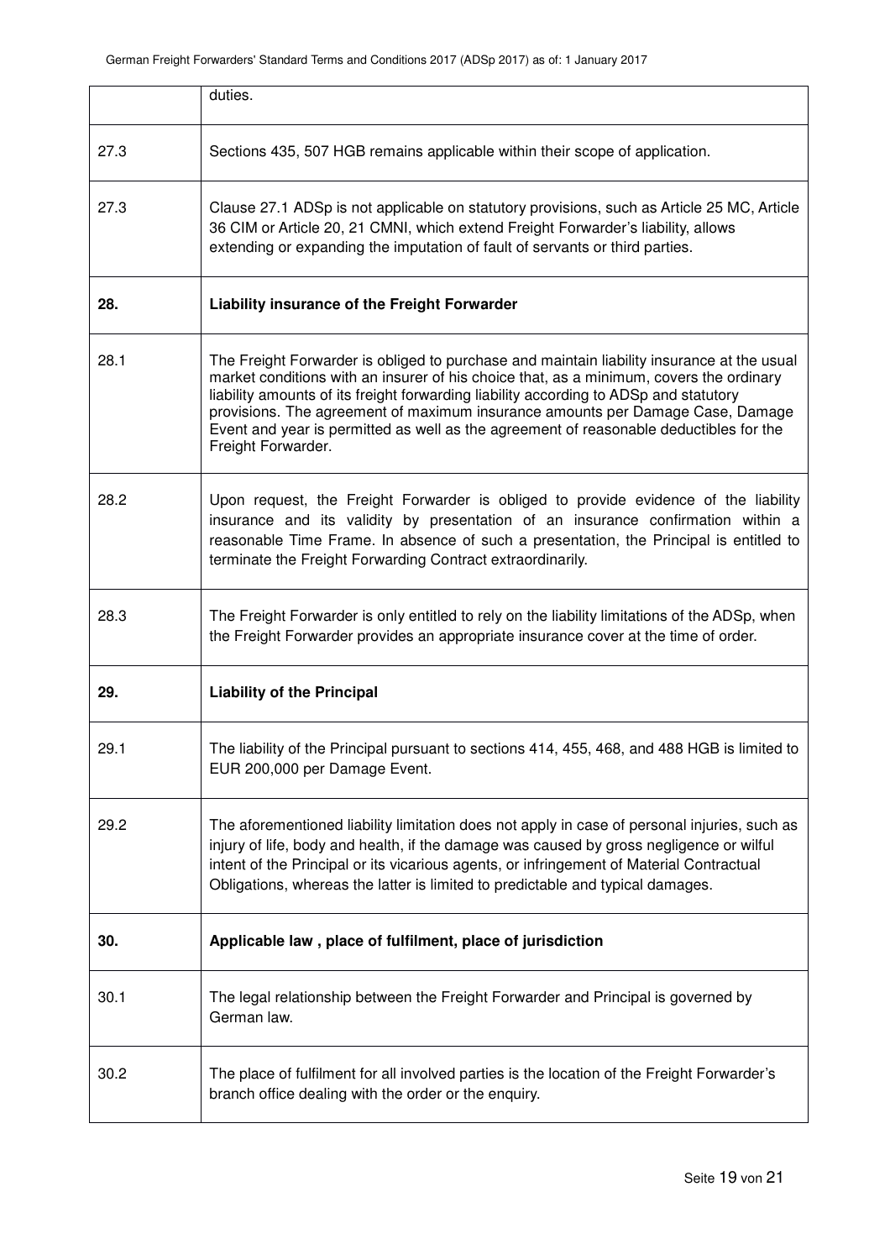|      | duties.                                                                                                                                                                                                                                                                                                                                                                                                                                                                          |
|------|----------------------------------------------------------------------------------------------------------------------------------------------------------------------------------------------------------------------------------------------------------------------------------------------------------------------------------------------------------------------------------------------------------------------------------------------------------------------------------|
| 27.3 | Sections 435, 507 HGB remains applicable within their scope of application.                                                                                                                                                                                                                                                                                                                                                                                                      |
| 27.3 | Clause 27.1 ADSp is not applicable on statutory provisions, such as Article 25 MC, Article<br>36 CIM or Article 20, 21 CMNI, which extend Freight Forwarder's liability, allows<br>extending or expanding the imputation of fault of servants or third parties.                                                                                                                                                                                                                  |
| 28.  | Liability insurance of the Freight Forwarder                                                                                                                                                                                                                                                                                                                                                                                                                                     |
| 28.1 | The Freight Forwarder is obliged to purchase and maintain liability insurance at the usual<br>market conditions with an insurer of his choice that, as a minimum, covers the ordinary<br>liability amounts of its freight forwarding liability according to ADSp and statutory<br>provisions. The agreement of maximum insurance amounts per Damage Case, Damage<br>Event and year is permitted as well as the agreement of reasonable deductibles for the<br>Freight Forwarder. |
| 28.2 | Upon request, the Freight Forwarder is obliged to provide evidence of the liability<br>insurance and its validity by presentation of an insurance confirmation within a<br>reasonable Time Frame. In absence of such a presentation, the Principal is entitled to<br>terminate the Freight Forwarding Contract extraordinarily.                                                                                                                                                  |
| 28.3 | The Freight Forwarder is only entitled to rely on the liability limitations of the ADSp, when<br>the Freight Forwarder provides an appropriate insurance cover at the time of order.                                                                                                                                                                                                                                                                                             |
| 29.  | <b>Liability of the Principal</b>                                                                                                                                                                                                                                                                                                                                                                                                                                                |
| 29.1 | The liability of the Principal pursuant to sections 414, 455, 468, and 488 HGB is limited to<br>EUR 200,000 per Damage Event.                                                                                                                                                                                                                                                                                                                                                    |
| 29.2 | The aforementioned liability limitation does not apply in case of personal injuries, such as<br>injury of life, body and health, if the damage was caused by gross negligence or wilful<br>intent of the Principal or its vicarious agents, or infringement of Material Contractual<br>Obligations, whereas the latter is limited to predictable and typical damages.                                                                                                            |
| 30.  | Applicable law, place of fulfilment, place of jurisdiction                                                                                                                                                                                                                                                                                                                                                                                                                       |
| 30.1 | The legal relationship between the Freight Forwarder and Principal is governed by<br>German law.                                                                                                                                                                                                                                                                                                                                                                                 |
| 30.2 | The place of fulfilment for all involved parties is the location of the Freight Forwarder's<br>branch office dealing with the order or the enquiry.                                                                                                                                                                                                                                                                                                                              |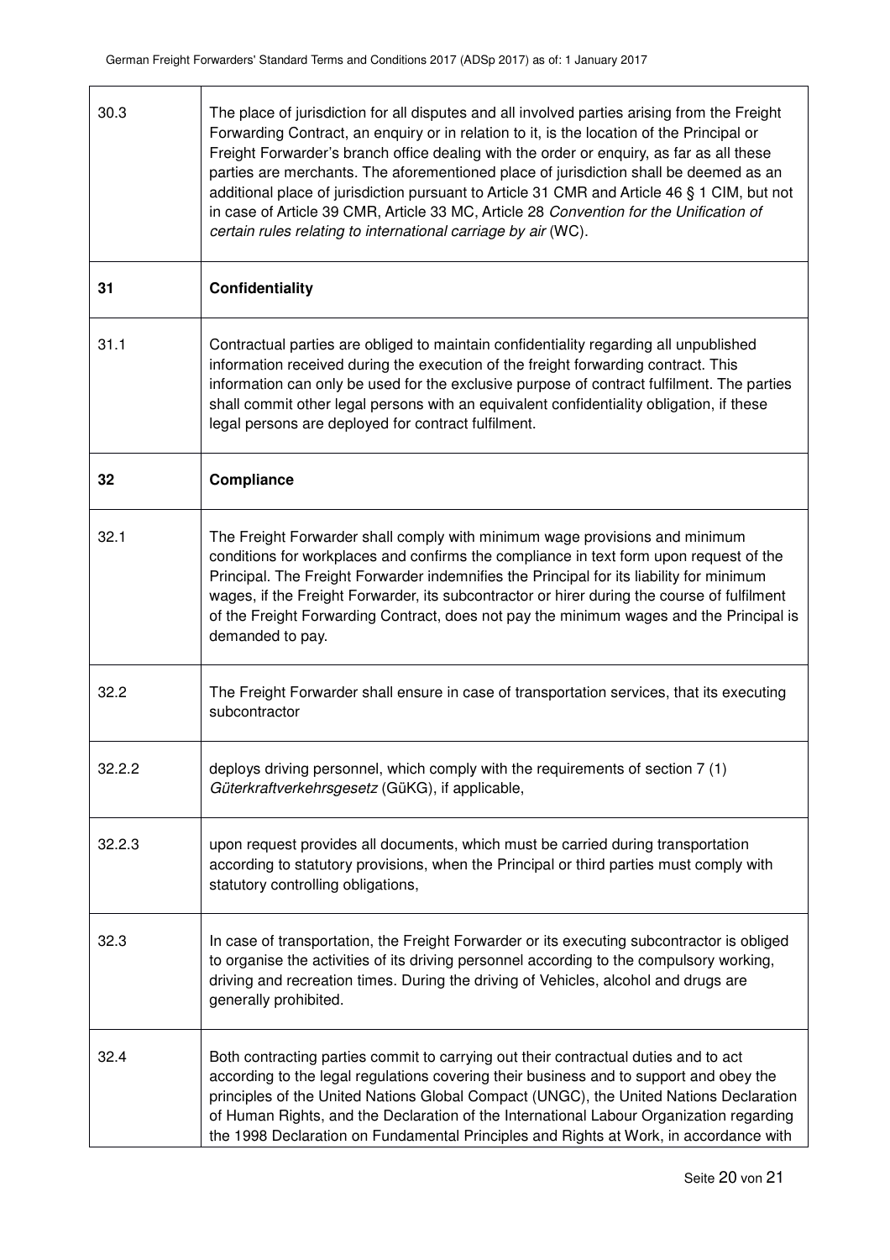| 30.3   | The place of jurisdiction for all disputes and all involved parties arising from the Freight<br>Forwarding Contract, an enquiry or in relation to it, is the location of the Principal or<br>Freight Forwarder's branch office dealing with the order or enquiry, as far as all these<br>parties are merchants. The aforementioned place of jurisdiction shall be deemed as an<br>additional place of jurisdiction pursuant to Article 31 CMR and Article 46 § 1 CIM, but not<br>in case of Article 39 CMR, Article 33 MC, Article 28 Convention for the Unification of<br>certain rules relating to international carriage by air (WC). |
|--------|------------------------------------------------------------------------------------------------------------------------------------------------------------------------------------------------------------------------------------------------------------------------------------------------------------------------------------------------------------------------------------------------------------------------------------------------------------------------------------------------------------------------------------------------------------------------------------------------------------------------------------------|
| 31     | Confidentiality                                                                                                                                                                                                                                                                                                                                                                                                                                                                                                                                                                                                                          |
| 31.1   | Contractual parties are obliged to maintain confidentiality regarding all unpublished<br>information received during the execution of the freight forwarding contract. This<br>information can only be used for the exclusive purpose of contract fulfilment. The parties<br>shall commit other legal persons with an equivalent confidentiality obligation, if these<br>legal persons are deployed for contract fulfilment.                                                                                                                                                                                                             |
| 32     | Compliance                                                                                                                                                                                                                                                                                                                                                                                                                                                                                                                                                                                                                               |
| 32.1   | The Freight Forwarder shall comply with minimum wage provisions and minimum<br>conditions for workplaces and confirms the compliance in text form upon request of the<br>Principal. The Freight Forwarder indemnifies the Principal for its liability for minimum<br>wages, if the Freight Forwarder, its subcontractor or hirer during the course of fulfilment<br>of the Freight Forwarding Contract, does not pay the minimum wages and the Principal is<br>demanded to pay.                                                                                                                                                          |
| 32.2   | The Freight Forwarder shall ensure in case of transportation services, that its executing<br>subcontractor                                                                                                                                                                                                                                                                                                                                                                                                                                                                                                                               |
| 32.2.2 | deploys driving personnel, which comply with the requirements of section 7 (1)<br>Güterkraftverkehrsgesetz (GüKG), if applicable,                                                                                                                                                                                                                                                                                                                                                                                                                                                                                                        |
| 32.2.3 | upon request provides all documents, which must be carried during transportation<br>according to statutory provisions, when the Principal or third parties must comply with<br>statutory controlling obligations,                                                                                                                                                                                                                                                                                                                                                                                                                        |
| 32.3   | In case of transportation, the Freight Forwarder or its executing subcontractor is obliged<br>to organise the activities of its driving personnel according to the compulsory working,<br>driving and recreation times. During the driving of Vehicles, alcohol and drugs are<br>generally prohibited.                                                                                                                                                                                                                                                                                                                                   |
| 32.4   | Both contracting parties commit to carrying out their contractual duties and to act<br>according to the legal regulations covering their business and to support and obey the<br>principles of the United Nations Global Compact (UNGC), the United Nations Declaration<br>of Human Rights, and the Declaration of the International Labour Organization regarding<br>the 1998 Declaration on Fundamental Principles and Rights at Work, in accordance with                                                                                                                                                                              |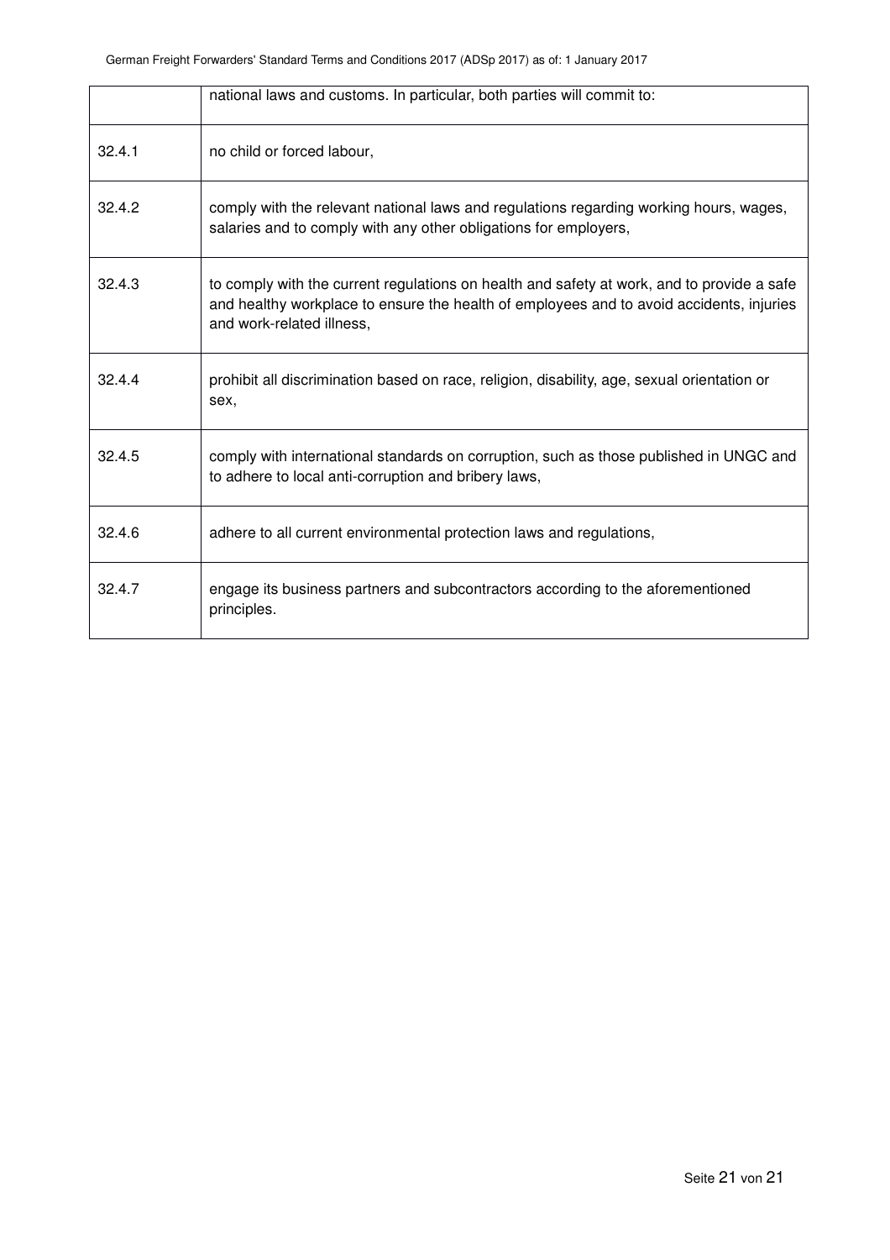|        | national laws and customs. In particular, both parties will commit to:                                                                                                                                              |
|--------|---------------------------------------------------------------------------------------------------------------------------------------------------------------------------------------------------------------------|
| 32.4.1 | no child or forced labour,                                                                                                                                                                                          |
| 32.4.2 | comply with the relevant national laws and regulations regarding working hours, wages,<br>salaries and to comply with any other obligations for employers,                                                          |
| 32.4.3 | to comply with the current regulations on health and safety at work, and to provide a safe<br>and healthy workplace to ensure the health of employees and to avoid accidents, injuries<br>and work-related illness, |
| 32.4.4 | prohibit all discrimination based on race, religion, disability, age, sexual orientation or<br>sex.                                                                                                                 |
| 32.4.5 | comply with international standards on corruption, such as those published in UNGC and<br>to adhere to local anti-corruption and bribery laws,                                                                      |
| 32.4.6 | adhere to all current environmental protection laws and regulations,                                                                                                                                                |
| 32.4.7 | engage its business partners and subcontractors according to the aforementioned<br>principles.                                                                                                                      |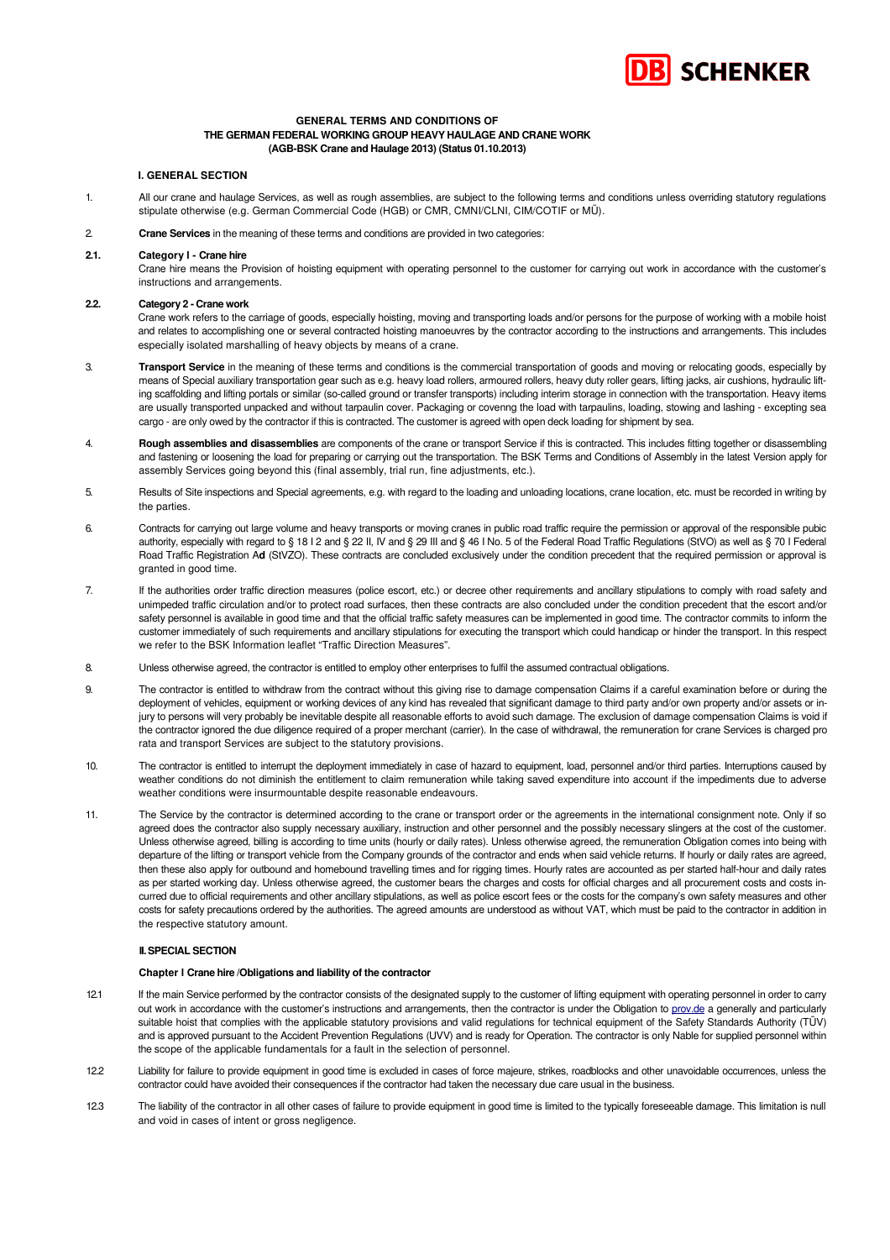

### **GENERAL TERMS AND CONDITIONS OF THE GERMAN FEDERAL WORKING GROUP HEAVY HAULAGE AND CRANE WORK (AGB-BSK Crane and Haulage 2013) (Status 01.10.2013)**

### **I. GENERAL SECTION**

- 1. All our crane and haulage Services, as well as rough assemblies, are subject to the following terms and conditions unless overriding statutory regulations stipulate otherwise (e.g. German Commercial Code (HGB) or CMR, CMNI/CLNI, CIM/COTIF or MÜ).
- 2. **Crane Services** in the meaning of these terms and conditions are provided in two categories:

### **2.1. Category l - Crane hire**

Crane hire means the Provision of hoisting equipment with operating personnel to the customer for carrying out work in accordance with the customer's instructions and arrangements.

### **2.2. Category 2 - Crane work**

Crane work refers to the carriage of goods, especially hoisting, moving and transporting loads and/or persons for the purpose of working with a mobile hoist and relates to accomplishing one or several contracted hoisting manoeuvres by the contractor according to the instructions and arrangements. This includes especially isolated marshalling of heavy objects by means of a crane.

- 3. **Transport Service** in the meaning of these terms and conditions is the commercial transportation of goods and moving or relocating goods, especially by means of Special auxiliary transportation gear such as e.g. heavy load rollers, armoured rollers, heavy duty roller gears, lifting jacks, air cushions, hydraulic lifting scaffolding and lifting portals or similar (so-called ground or transfer transports) including interim storage in connection with the transportation. Heavy items are usually transported unpacked and without tarpaulin cover. Packaging or covenng the load with tarpaulins, loading, stowing and lashing - excepting sea cargo - are only owed by the contractor if this is contracted. The customer is agreed with open deck loading for shipment by sea.
- 4. **Rough assemblies and disassemblies** are components of the crane or transport Service if this is contracted. This includes fitting together or disassembling and fastening or loosening the load for preparing or carrying out the transportation. The BSK Terms and Conditions of Assembly in the latest Version apply for assembly Services going beyond this (final assembly, trial run, fine adjustments, etc.).
- 5. Results of Site inspections and Special agreements, e.g. with regard to the loading and unloading locations, crane location, etc. must be recorded in writing by the parties.
- 6. Contracts for carrying out large volume and heavy transports or moving cranes in public road traffic require the permission or approval of the responsible pubic authority, especially with regard to § 18 I 2 and § 22 II, IV and § 29 III and § 46 I No. 5 of the Federal Road Traffic Regulations (StVO) as well as § 70 I Federal Road Traffic Registration A**d** (StVZO). These contracts are concluded exclusively under the condition precedent that the required permission or approval is granted in good time.
- 7. If the authorities order traffic direction measures (police escort, etc.) or decree other requirements and ancillary stipulations to comply with road safety and unimpeded traffic circulation and/or to protect road surfaces, then these contracts are also concluded under the condition precedent that the escort and/or safety personnel is available in good time and that the official traffic safety measures can be implemented in good time. The contractor commits to inform the customer immediately of such requirements and ancillary stipulations for executing the transport which could handicap or hinder the transport. In this respect we refer to the BSK Information leaflet "Traffic Direction Measures".
- 8. Unless otherwise agreed, the contractor is entitled to employ other enterprises to fulfil the assumed contractual obligations.
- 9. The contractor is entitled to withdraw from the contract without this giving rise to damage compensation Claims if a careful examination before or during the deployment of vehicles, equipment or working devices of any kind has revealed that significant damage to third party and/or own property and/or assets or injury to persons will very probably be inevitable despite all reasonable efforts to avoid such damage. The exclusion of damage compensation Claims is void if the contractor ignored the due diligence required of a proper merchant (carrier). In the case of withdrawal, the remuneration for crane Services is charged pro rata and transport Services are subject to the statutory provisions.
- 10. The contractor is entitled to interrupt the deployment immediately in case of hazard to equipment, load, personnel and/or third parties. Interruptions caused by weather conditions do not diminish the entitlement to claim remuneration while taking saved expenditure into account if the impediments due to adverse weather conditions were insurmountable despite reasonable endeavours.
- 11. The Service by the contractor is determined according to the crane or transport order or the agreements in the international consignment note. Only if so agreed does the contractor also supply necessary auxiliary, instruction and other personnel and the possibly necessary slingers at the cost of the customer. Unless otherwise agreed, billing is according to time units (hourly or daily rates). Unless otherwise agreed, the remuneration Obligation comes into being with departure of the lifting or transport vehicle from the Company grounds of the contractor and ends when said vehicle returns. If hourly or daily rates are agreed, then these also apply for outbound and homebound travelling times and for rigging times. Hourly rates are accounted as per started half-hour and daily rates as per started working day. Unless otherwise agreed, the customer bears the charges and costs for official charges and all procurement costs and costs incurred due to official requirements and other ancillary stipulations, as well as police escort fees or the costs for the company's own safety measures and other costs for safety precautions ordered by the authorities. The agreed amounts are understood as without VAT, which must be paid to the contractor in addition in the respective statutory amount.

### **II. SPECIAL SECTION**

### **Chapter l Crane hire /Obligations and liability of the contractor**

- 12.1 If the main Service performed by the contractor consists of the designated supply to the customer of lifting equipment with operating personnel in order to carry out work in accordance with the customer's instructions and arrangements, then the contractor is under the Obligation to prov.de a generally and particularly suitable hoist that complies with the applicable statutory provisions and valid regulations for technical equipment of the Safety Standards Authority (TÜV) and is approved pursuant to the Accident Prevention Regulations (UVV) and is ready for Operation. The contractor is only Nable for supplied personnel within the scope of the applicable fundamentals for a fault in the selection of personnel.
- 12.2 Liability for failure to provide equipment in good time is excluded in cases of force majeure, strikes, roadblocks and other unavoidable occurrences, unless the contractor could have avoided their consequences if the contractor had taken the necessary due care usual in the business.
- 12.3 The liability of the contractor in all other cases of failure to provide equipment in good time is limited to the typically foreseeable damage. This limitation is null and void in cases of intent or gross negligence.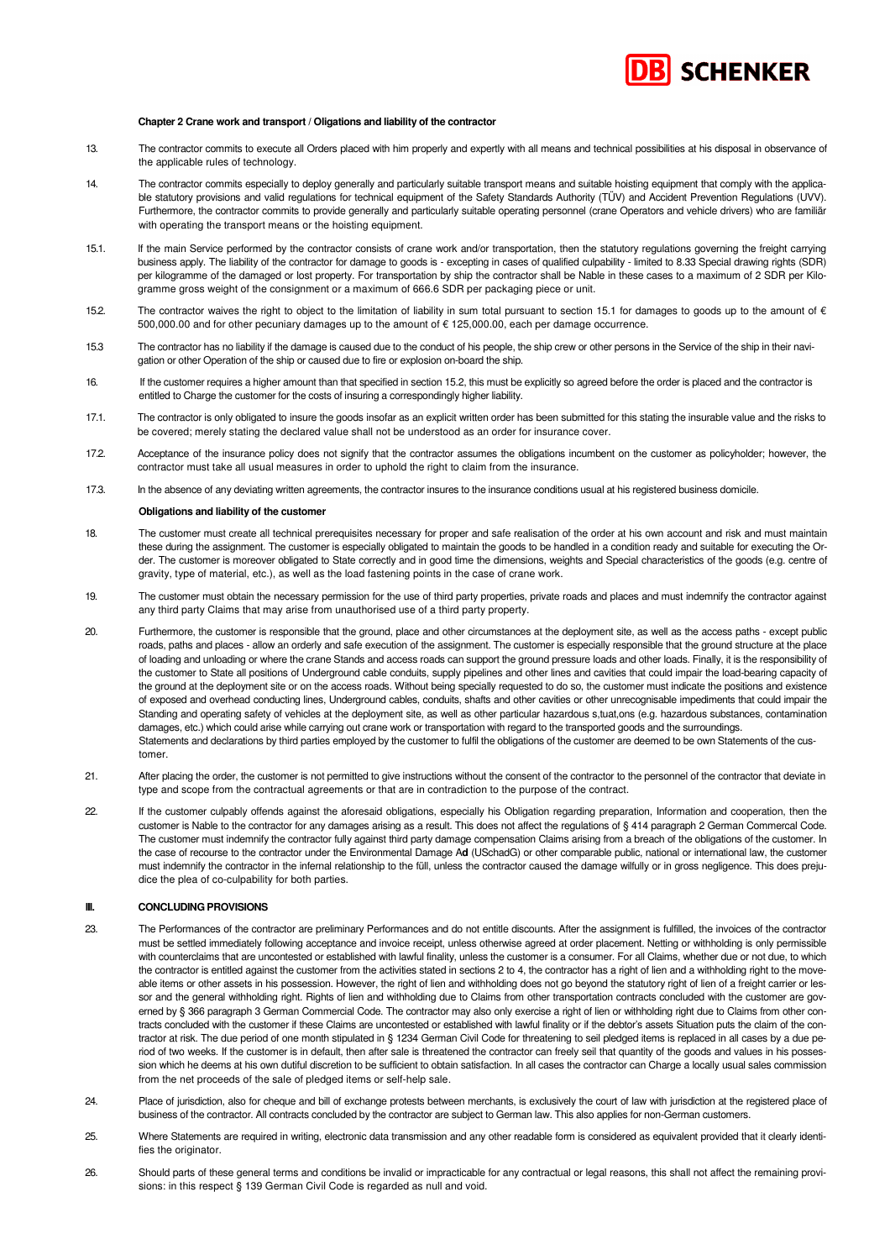# **BI SCHENKER**

### **Chapter 2 Crane work and transport / Oligations and liability of the contractor**

- 13. The contractor commits to execute all Orders placed with him properly and expertly with all means and technical possibilities at his disposal in observance of the applicable rules of technology.
- 14. The contractor commits especially to deploy generally and particularly suitable transport means and suitable hoisting equipment that comply with the applicable statutory provisions and valid regulations for technical equipment of the Safety Standards Authority (TÜV) and Accident Prevention Regulations (UVV). Furthermore, the contractor commits to provide generally and particularly suitable operating personnel (crane Operators and vehicle drivers) who are familiär with operating the transport means or the hoisting equipment.
- 15.1. If the main Service performed by the contractor consists of crane work and/or transportation, then the statutory regulations governing the freight carrying business apply. The liability of the contractor for damage to goods is - excepting in cases of qualified culpability - limited to 8.33 Special drawing rights (SDR) per kilogramme of the damaged or lost property. For transportation by ship the contractor shall be Nable in these cases to a maximum of 2 SDR per Kilogramme gross weight of the consignment or a maximum of 666.6 SDR per packaging piece or unit.
- 15.2. The contractor waives the right to object to the limitation of liability in sum total pursuant to section 15.1 for damages to goods up to the amount of  $\epsilon$ 500,000.00 and for other pecuniary damages up to the amount of € 125,000.00, each per damage occurrence.
- 15.3 The contractor has no liability if the damage is caused due to the conduct of his people, the ship crew or other persons in the Service of the ship in their navigation or other Operation of the ship or caused due to fire or explosion on-board the ship.
- 16. If the customer requires a higher amount than that specified in section 15.2, this must be explicitly so agreed before the order is placed and the contractor is entitled to Charge the customer for the costs of insuring a correspondingly higher liability.
- 17.1. The contractor is only obligated to insure the goods insofar as an explicit written order has been submitted for this stating the insurable value and the risks to be covered; merely stating the declared value shall not be understood as an order for insurance cover.
- 17.2. Acceptance of the insurance policy does not signify that the contractor assumes the obligations incumbent on the customer as policyholder; however, the contractor must take all usual measures in order to uphold the right to claim from the insurance.
- 17.3. In the absence of any deviating written agreements, the contractor insures to the insurance conditions usual at his registered business domicile.

#### **Obligations and liability of the customer**

- 18. The customer must create all technical prerequisites necessary for proper and safe realisation of the order at his own account and risk and must maintain these during the assignment. The customer is especially obligated to maintain the goods to be handled in a condition ready and suitable for executing the Order. The customer is moreover obligated to State correctly and in good time the dimensions, weights and Special characteristics of the goods (e.g. centre of gravity, type of material, etc.), as well as the load fastening points in the case of crane work.
- 19. The customer must obtain the necessary permission for the use of third party properties, private roads and places and must indemnify the contractor against any third party Claims that may arise from unauthorised use of a third party property.
- 20. Furthermore, the customer is responsible that the ground, place and other circumstances at the deployment site, as well as the access paths except public roads, paths and places - allow an orderly and safe execution of the assignment. The customer is especially responsible that the ground structure at the place of loading and unloading or where the crane Stands and access roads can support the ground pressure loads and other loads. Finally, it is the responsibility of the customer to State all positions of Underground cable conduits, supply pipelines and other lines and cavities that could impair the load-bearing capacity of the ground at the deployment site or on the access roads. Without being specially requested to do so, the customer must indicate the positions and existence of exposed and overhead conducting lines, Underground cables, conduits, shafts and other cavities or other unrecognisable impediments that could impair the Standing and operating safety of vehicles at the deployment site, as well as other particular hazardous s,tuat,ons (e.g. hazardous substances, contamination damages, etc.) which could arise while carrying out crane work or transportation with regard to the transported goods and the surroundings. Statements and declarations by third parties employed by the customer to fulfil the obligations of the customer are deemed to be own Statements of the customer.
- 21. After placing the order, the customer is not permitted to give instructions without the consent of the contractor to the personnel of the contractor that deviate in type and scope from the contractual agreements or that are in contradiction to the purpose of the contract.
- 22. If the customer culpably offends against the aforesaid obligations, especially his Obligation regarding preparation, Information and cooperation, then the customer is Nable to the contractor for any damages arising as a result. This does not affect the regulations of § 414 paragraph 2 German Commercal Code. The customer must indemnify the contractor fully against third party damage compensation Claims arising from a breach of the obligations of the customer. In the case of recourse to the contractor under the Environmental Damage A**d** (USchadG) or other comparable public, national or international law, the customer must indemnify the contractor in the infernal relationship to the füll, unless the contractor caused the damage wilfully or in gross negligence. This does prejudice the plea of co-culpability for both parties.

### **III. CONCLUDING PROVISIONS**

- 23. The Performances of the contractor are preliminary Performances and do not entitle discounts. After the assignment is fulfilled, the invoices of the contractor must be settled immediately following acceptance and invoice receipt, unless otherwise agreed at order placement. Netting or withholding is only permissible with counterclaims that are uncontested or established with lawful finality, unless the customer is a consumer. For all Claims, whether due or not due, to which the contractor is entitled against the customer from the activities stated in sections 2 to 4, the contractor has a right of lien and a withholding right to the moveable items or other assets in his possession. However, the right of lien and withholding does not go beyond the statutory right of lien of a freight carrier or lessor and the general withholding right. Rights of lien and withholding due to Claims from other transportation contracts concluded with the customer are governed by § 366 paragraph 3 German Commercial Code. The contractor may also only exercise a right of lien or withholding right due to Claims from other contracts concluded with the customer if these Claims are uncontested or established with lawful finality or if the debtor's assets Situation puts the claim of the contractor at risk. The due period of one month stipulated in § 1234 German Civil Code for threatening to seil pledged items is replaced in all cases by a due period of two weeks. If the customer is in default, then after sale is threatened the contractor can freely seil that quantity of the goods and values in his possession which he deems at his own dutiful discretion to be sufficient to obtain satisfaction. In all cases the contractor can Charge a locally usual sales commission from the net proceeds of the sale of pledged items or self-help sale.
- 24. Place of jurisdiction, also for cheque and bill of exchange protests between merchants, is exclusively the court of law with jurisdiction at the registered place of business of the contractor. All contracts concluded by the contractor are subject to German law. This also applies for non-German customers.
- 25. Where Statements are required in writing, electronic data transmission and any other readable form is considered as equivalent provided that it clearly identifies the originator.
- 26. Should parts of these general terms and conditions be invalid or impracticable for any contractual or legal reasons, this shall not affect the remaining provisions: in this respect § 139 German Civil Code is regarded as null and void.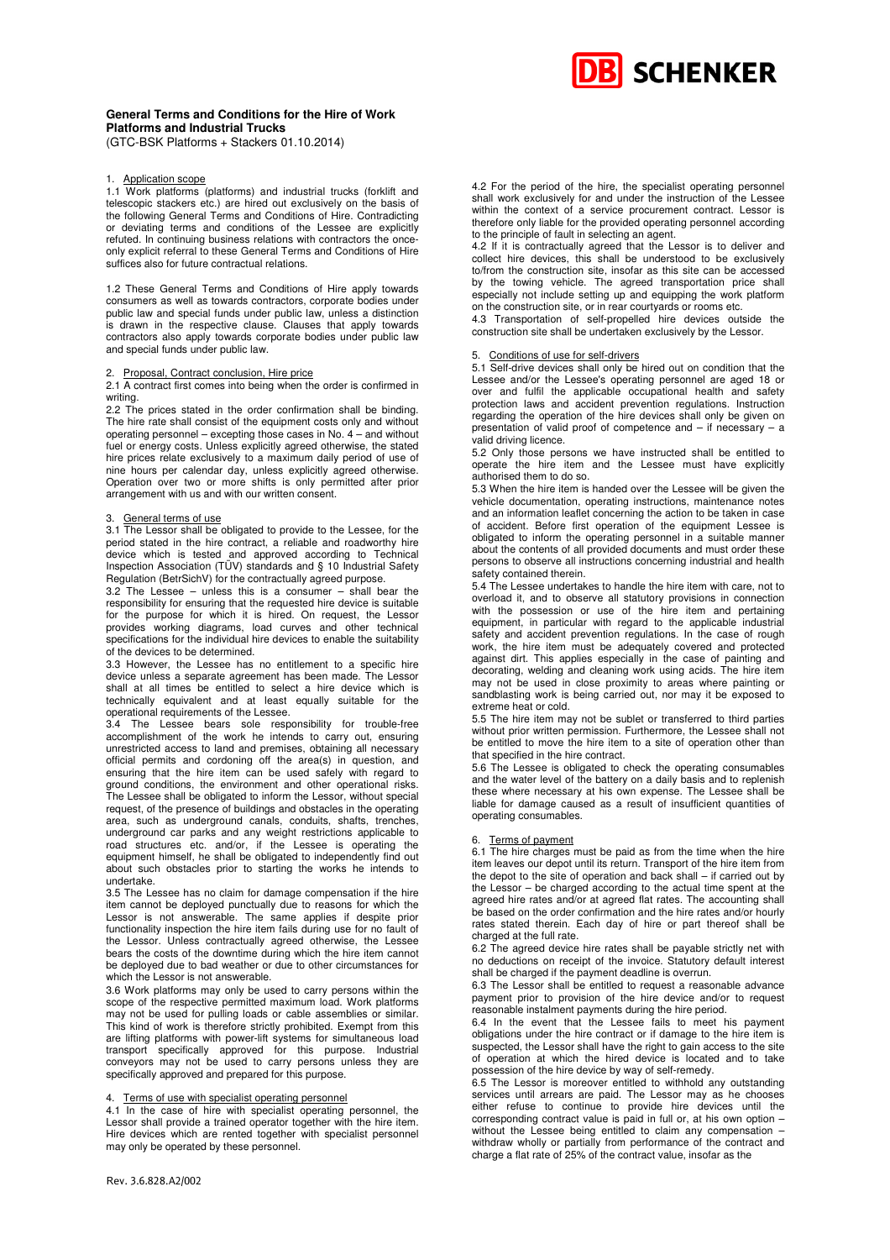

### **General Terms and Conditions for the Hire of Work Platforms and Industrial Trucks**

(GTC-BSK Platforms + Stackers 01.10.2014)

#### 1. Application scope

1.1 Work platforms (platforms) and industrial trucks (forklift and telescopic stackers etc.) are hired out exclusively on the basis of the following General Terms and Conditions of Hire. Contradicting or deviating terms and conditions of the Lessee are explicitly refuted. In continuing business relations with contractors the onceonly explicit referral to these General Terms and Conditions of Hire suffices also for future contractual relations.

1.2 These General Terms and Conditions of Hire apply towards consumers as well as towards contractors, corporate bodies under public law and special funds under public law, unless a distinction is drawn in the respective clause. Clauses that apply towards contractors also apply towards corporate bodies under public law and special funds under public law.

#### 2. Proposal, Contract conclusion, Hire price

2.1 A contract first comes into being when the order is confirmed in writing.

2.2 The prices stated in the order confirmation shall be binding. The hire rate shall consist of the equipment costs only and without operating personnel – excepting those cases in No. 4 – and without fuel or energy costs. Unless explicitly agreed otherwise, the stated hire prices relate exclusively to a maximum daily period of use of nine hours per calendar day, unless explicitly agreed otherwise. Operation over two or more shifts is only permitted after prior arrangement with us and with our written consent.

#### 3. General terms of use

3.1 The Lessor shall be obligated to provide to the Lessee, for the period stated in the hire contract, a reliable and roadworthy hire device which is tested and approved according to Technical Inspection Association (TÜV) standards and § 10 Industrial Safety Regulation (BetrSichV) for the contractually agreed purpose.

3.2 The Lessee – unless this is a consumer – shall bear the responsibility for ensuring that the requested hire device is suitable for the purpose for which it is hired. On request, the Lessor provides working diagrams, load curves and other technical specifications for the individual hire devices to enable the suitability of the devices to be determined.

3.3 However, the Lessee has no entitlement to a specific hire device unless a separate agreement has been made. The Lessor shall at all times be entitled to select a hire device which is technically equivalent and at least equally suitable for the operational requirements of the Lessee.

3.4 The Lessee bears sole responsibility for trouble-free accomplishment of the work he intends to carry out, ensuring unrestricted access to land and premises, obtaining all necessary official permits and cordoning off the area(s) in question, and ensuring that the hire item can be used safely with regard to ground conditions, the environment and other operational risks. The Lessee shall be obligated to inform the Lessor, without special request, of the presence of buildings and obstacles in the operating area, such as underground canals, conduits, shafts, trenches, underground car parks and any weight restrictions applicable to road structures etc. and/or, if the Lessee is operating the equipment himself, he shall be obligated to independently find out about such obstacles prior to starting the works he intends to undertake.

3.5 The Lessee has no claim for damage compensation if the hire item cannot be deployed punctually due to reasons for which the Lessor is not answerable. The same applies if despite prior functionality inspection the hire item fails during use for no fault of the Lessor. Unless contractually agreed otherwise, the Lessee bears the costs of the downtime during which the hire item cannot be deployed due to bad weather or due to other circumstances for which the Lessor is not answerable.

3.6 Work platforms may only be used to carry persons within the scope of the respective permitted maximum load. Work platforms may not be used for pulling loads or cable assemblies or similar. This kind of work is therefore strictly prohibited. Exempt from this are lifting platforms with power-lift systems for simultaneous load transport specifically approved for this purpose. Industrial conveyors may not be used to carry persons unless they are specifically approved and prepared for this purpose.

### 4. Terms of use with specialist operating personnel

4.1 In the case of hire with specialist operating personnel, the Lessor shall provide a trained operator together with the hire item. Hire devices which are rented together with specialist personnel may only be operated by these personnel.

4.2 If it is contractually agreed that the Lessor is to deliver and collect hire devices, this shall be understood to be exclusively to/from the construction site, insofar as this site can be accessed by the towing vehicle. The agreed transportation price shall especially not include setting up and equipping the work platform on the construction site, or in rear courtyards or rooms etc.

4.3 Transportation of self-propelled hire devices outside the construction site shall be undertaken exclusively by the Lessor.

### Conditions of use for self-drivers

5.1 Self-drive devices shall only be hired out on condition that the Lessee and/or the Lessee's operating personnel are aged 18 or over and fulfil the applicable occupational health and safety protection laws and accident prevention regulations. Instruction regarding the operation of the hire devices shall only be given on presentation of valid proof of competence and – if necessary – a valid driving licence.

5.2 Only those persons we have instructed shall be entitled to operate the hire item and the Lessee must have explicitly authorised them to do so.

5.3 When the hire item is handed over the Lessee will be given the vehicle documentation, operating instructions, maintenance notes and an information leaflet concerning the action to be taken in case of accident. Before first operation of the equipment Lessee is obligated to inform the operating personnel in a suitable manner about the contents of all provided documents and must order these persons to observe all instructions concerning industrial and health safety contained therein.

5.4 The Lessee undertakes to handle the hire item with care, not to overload it, and to observe all statutory provisions in connection with the possession or use of the hire item and pertaining equipment, in particular with regard to the applicable industrial safety and accident prevention regulations. In the case of rough work, the hire item must be adequately covered and protected against dirt. This applies especially in the case of painting and decorating, welding and cleaning work using acids. The hire item may not be used in close proximity to areas where painting or sandblasting work is being carried out, nor may it be exposed to extreme heat or cold.

5.5 The hire item may not be sublet or transferred to third parties without prior written permission. Furthermore, the Lessee shall not be entitled to move the hire item to a site of operation other than that specified in the hire contract.

5.6 The Lessee is obligated to check the operating consumables and the water level of the battery on a daily basis and to replenish these where necessary at his own expense. The Lessee shall be liable for damage caused as a result of insufficient quantities of operating consumables.

#### Terms of payment

6.1 The hire charges must be paid as from the time when the hire item leaves our depot until its return. Transport of the hire item from the depot to the site of operation and back shall – if carried out by the Lessor – be charged according to the actual time spent at the agreed hire rates and/or at agreed flat rates. The accounting shall be based on the order confirmation and the hire rates and/or hourly rates stated therein. Each day of hire or part thereof shall be charged at the full rate.

6.2 The agreed device hire rates shall be payable strictly net with no deductions on receipt of the invoice. Statutory default interest shall be charged if the payment deadline is overrun.

6.3 The Lessor shall be entitled to request a reasonable advance payment prior to provision of the hire device and/or to request reasonable instalment payments during the hire period.

6.4 In the event that the Lessee fails to meet his payment obligations under the hire contract or if damage to the hire item is suspected, the Lessor shall have the right to gain access to the site of operation at which the hired device is located and to take possession of the hire device by way of self-remedy.

6.5 The Lessor is moreover entitled to withhold any outstanding services until arrears are paid. The Lessor may as he chooses either refuse to continue to provide hire devices until the corresponding contract value is paid in full or, at his own option – without the Lessee being entitled to claim any compensation – withdraw wholly or partially from performance of the contract and charge a flat rate of 25% of the contract value, insofar as the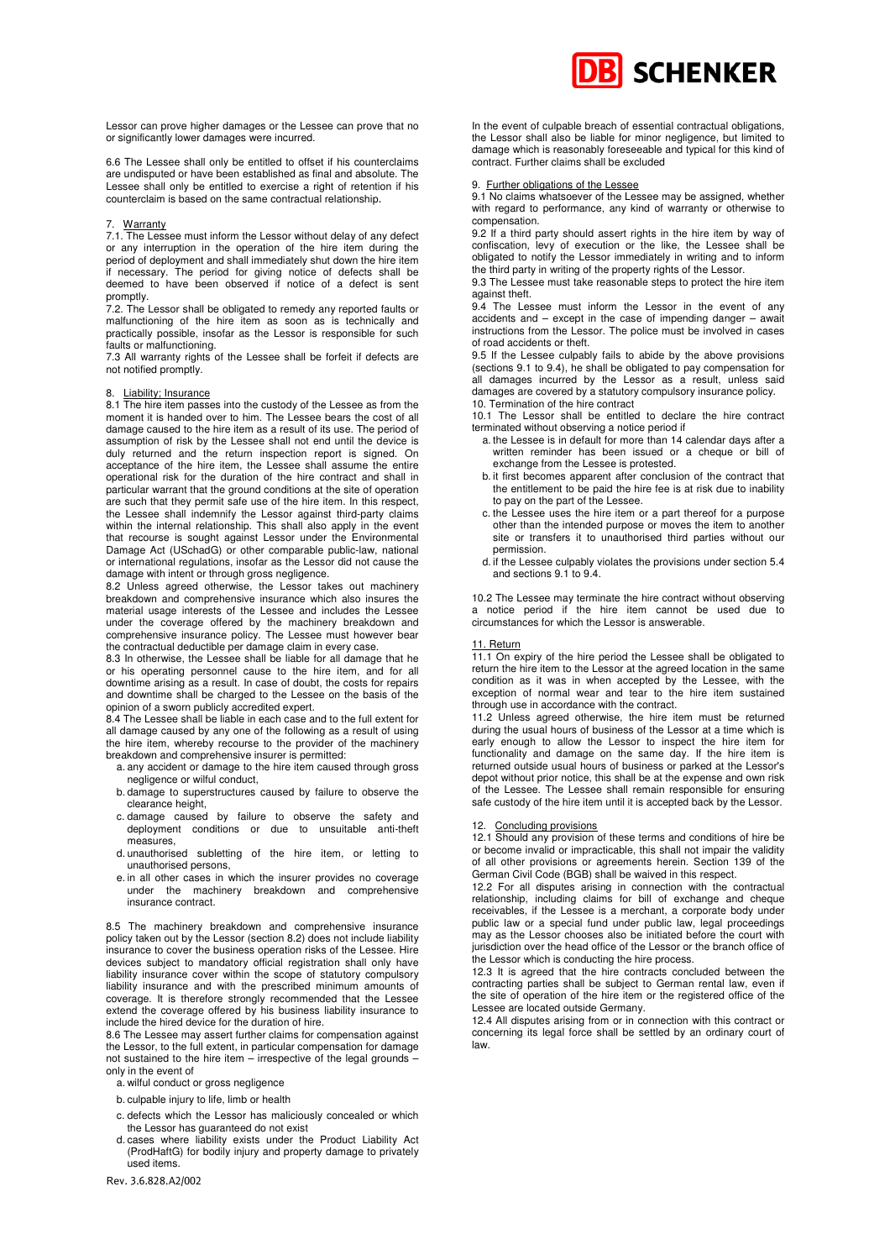

Lessor can prove higher damages or the Lessee can prove that no or significantly lower damages were incurred.

6.6 The Lessee shall only be entitled to offset if his counterclaims are undisputed or have been established as final and absolute. The Lessee shall only be entitled to exercise a right of retention if his counterclaim is based on the same contractual relationship.

#### 7. Warranty

7.1. The Lessee must inform the Lessor without delay of any defect or any interruption in the operation of the hire item during the period of deployment and shall immediately shut down the hire item if necessary. The period for giving notice of defects shall be deemed to have been observed if notice of a defect is sent promptly.

7.2. The Lessor shall be obligated to remedy any reported faults or malfunctioning of the hire item as soon as is technically and practically possible, insofar as the Lessor is responsible for such faults or malfunctioning.

7.3 All warranty rights of the Lessee shall be forfeit if defects are not notified promptly.

### 8. Liability; Insurance

8.1 The hire item passes into the custody of the Lessee as from the moment it is handed over to him. The Lessee bears the cost of all damage caused to the hire item as a result of its use. The period of assumption of risk by the Lessee shall not end until the device is duly returned and the return inspection report is signed. On acceptance of the hire item, the Lessee shall assume the entire operational risk for the duration of the hire contract and shall in particular warrant that the ground conditions at the site of operation are such that they permit safe use of the hire item. In this respect, the Lessee shall indemnify the Lessor against third-party claims within the internal relationship. This shall also apply in the event that recourse is sought against Lessor under the Environmental Damage Act (USchadG) or other comparable public-law, national or international regulations, insofar as the Lessor did not cause the damage with intent or through gross negligence.

8.2 Unless agreed otherwise, the Lessor takes out machinery breakdown and comprehensive insurance which also insures the material usage interests of the Lessee and includes the Lessee under the coverage offered by the machinery breakdown and comprehensive insurance policy. The Lessee must however bear the contractual deductible per damage claim in every case.

8.3 In otherwise, the Lessee shall be liable for all damage that he or his operating personnel cause to the hire item, and for all downtime arising as a result. In case of doubt, the costs for repairs and downtime shall be charged to the Lessee on the basis of the opinion of a sworn publicly accredited expert.

8.4 The Lessee shall be liable in each case and to the full extent for all damage caused by any one of the following as a result of using the hire item, whereby recourse to the provider of the machinery breakdown and comprehensive insurer is permitted:

- a. any accident or damage to the hire item caused through gross negligence or wilful conduct,
- b. damage to superstructures caused by failure to observe the clearance height,
- c. damage caused by failure to observe the safety and deployment conditions or due to unsuitable anti-theft measures,
- d. unauthorised subletting of the hire item, or letting to unauthorised persons,
- e. in all other cases in which the insurer provides no coverage under the machinery breakdown and comprehensive insurance contract.

8.5 The machinery breakdown and comprehensive insurance policy taken out by the Lessor (section 8.2) does not include liability insurance to cover the business operation risks of the Lessee. Hire devices subject to mandatory official registration shall only have liability insurance cover within the scope of statutory compulsory liability insurance and with the prescribed minimum amounts of coverage. It is therefore strongly recommended that the Lessee extend the coverage offered by his business liability insurance to include the hired device for the duration of hire.

8.6 The Lessee may assert further claims for compensation against the Lessor, to the full extent, in particular compensation for damage not sustained to the hire item – irrespective of the legal grounds – only in the event of

- a. wilful conduct or gross negligence
- b. culpable injury to life, limb or health
- c. defects which the Lessor has maliciously concealed or which the Lessor has guaranteed do not exist
- d. cases where liability exists under the Product Liability Act (ProdHaftG) for bodily injury and property damage to privately used items.
- Rev. 3.6.828.A2/002

In the event of culpable breach of essential contractual obligations, the Lessor shall also be liable for minor negligence, but limited to damage which is reasonably foreseeable and typical for this kind of contract. Further claims shall be excluded

#### 9. Further obligations of the Lessee

9.1 No claims whatsoever of the Lessee may be assigned, whether with regard to performance, any kind of warranty or otherwise to compensation.

9.2 If a third party should assert rights in the hire item by way of confiscation, levy of execution or the like, the Lessee shall be obligated to notify the Lessor immediately in writing and to inform the third party in writing of the property rights of the Lessor.

9.3 The Lessee must take reasonable steps to protect the hire item against theft.

9.4 The Lessee must inform the Lessor in the event of any accidents and – except in the case of impending danger – await instructions from the Lessor. The police must be involved in cases of road accidents or theft.

9.5 If the Lessee culpably fails to abide by the above provisions (sections 9.1 to 9.4), he shall be obligated to pay compensation for all damages incurred by the Lessor as a result, unless said damages are covered by a statutory compulsory insurance policy. 10. Termination of the hire contract

10.1 The Lessor shall be entitled to declare the hire contract terminated without observing a notice period if

- a. the Lessee is in default for more than 14 calendar days after a written reminder has been issued or a cheque or bill of exchange from the Lessee is protested.
- b. it first becomes apparent after conclusion of the contract that the entitlement to be paid the hire fee is at risk due to inability to pay on the part of the Lessee.
- c. the Lessee uses the hire item or a part thereof for a purpose other than the intended purpose or moves the item to another site or transfers it to unauthorised third parties without our permission.
- d. if the Lessee culpably violates the provisions under section 5.4 and sections 9.1 to 9.4.

10.2 The Lessee may terminate the hire contract without observing a notice period if the hire item cannot be used due to circumstances for which the Lessor is answerable.

### 11. Return

11.1 On expiry of the hire period the Lessee shall be obligated to return the hire item to the Lessor at the agreed location in the same condition as it was in when accepted by the Lessee, with the exception of normal wear and tear to the hire item sustained through use in accordance with the contract.

11.2 Unless agreed otherwise, the hire item must be returned during the usual hours of business of the Lessor at a time which is early enough to allow the Lessor to inspect the hire item for functionality and damage on the same day. If the hire item is returned outside usual hours of business or parked at the Lessor's depot without prior notice, this shall be at the expense and own risk of the Lessee. The Lessee shall remain responsible for ensuring safe custody of the hire item until it is accepted back by the Lessor.

#### 12. Concluding provisions

12.1 Should any provision of these terms and conditions of hire be or become invalid or impracticable, this shall not impair the validity of all other provisions or agreements herein. Section 139 of the German Civil Code (BGB) shall be waived in this respect.

12.2 For all disputes arising in connection with the contractual relationship, including claims for bill of exchange and cheque receivables, if the Lessee is a merchant, a corporate body under public law or a special fund under public law, legal proceedings may as the Lessor chooses also be initiated before the court with jurisdiction over the head office of the Lessor or the branch office of the Lessor which is conducting the hire process.

12.3 It is agreed that the hire contracts concluded between the contracting parties shall be subject to German rental law, even if the site of operation of the hire item or the registered office of the Lessee are located outside Germany.

12.4 All disputes arising from or in connection with this contract or concerning its legal force shall be settled by an ordinary court of law.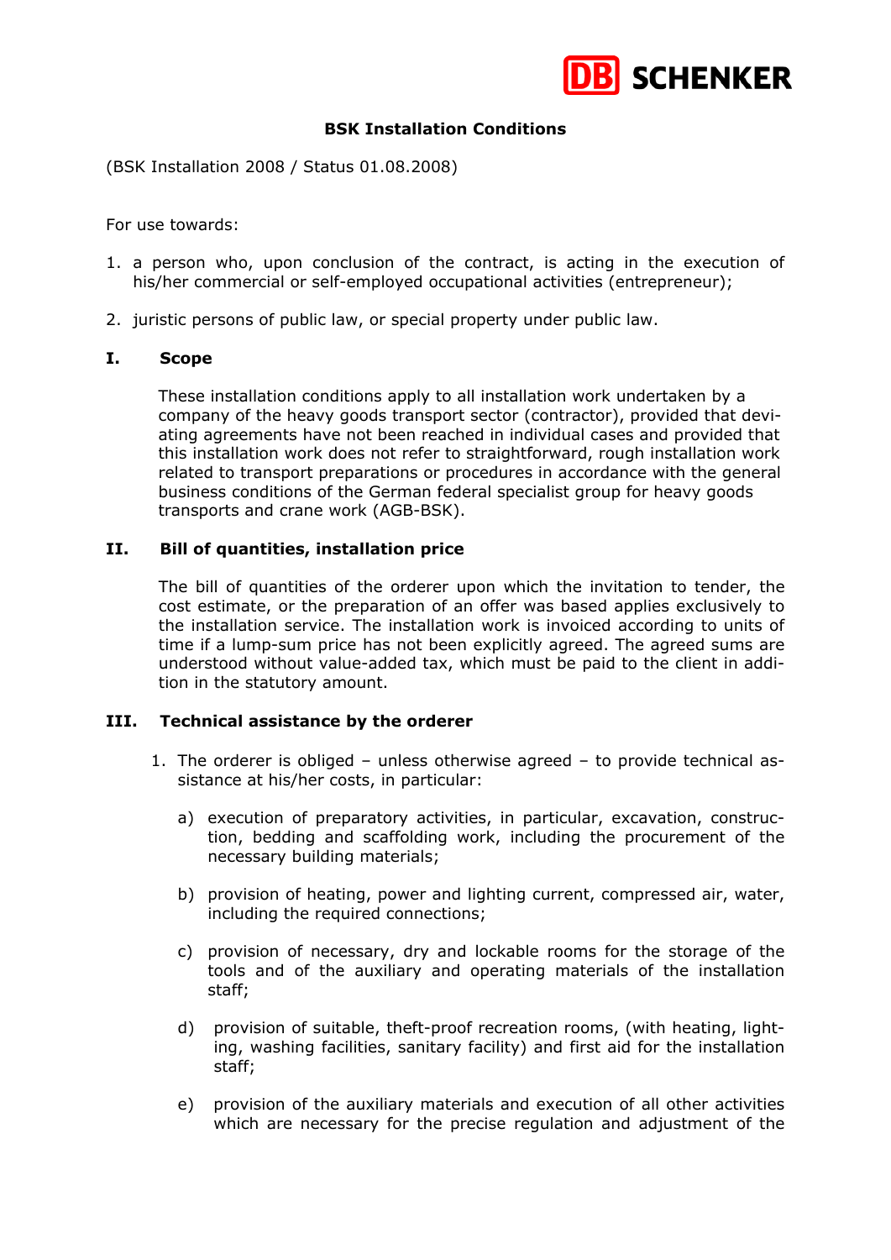

# **BSK Installation Conditions**

(BSK Installation 2008 / Status 01.08.2008)

For use towards:

- 1. a person who, upon conclusion of the contract, is acting in the execution of his/her commercial or self-employed occupational activities (entrepreneur);
- 2. juristic persons of public law, or special property under public law.

## **I. Scope**

These installation conditions apply to all installation work undertaken by a company of the heavy goods transport sector (contractor), provided that deviating agreements have not been reached in individual cases and provided that this installation work does not refer to straightforward, rough installation work related to transport preparations or procedures in accordance with the general business conditions of the German federal specialist group for heavy goods transports and crane work (AGB-BSK).

# **II. Bill of quantities, installation price**

The bill of quantities of the orderer upon which the invitation to tender, the cost estimate, or the preparation of an offer was based applies exclusively to the installation service. The installation work is invoiced according to units of time if a lump-sum price has not been explicitly agreed. The agreed sums are understood without value-added tax, which must be paid to the client in addition in the statutory amount.

# **III. Technical assistance by the orderer**

- 1. The orderer is obliged unless otherwise agreed to provide technical assistance at his/her costs, in particular:
	- a) execution of preparatory activities, in particular, excavation, construction, bedding and scaffolding work, including the procurement of the necessary building materials;
	- b) provision of heating, power and lighting current, compressed air, water, including the required connections;
	- c) provision of necessary, dry and lockable rooms for the storage of the tools and of the auxiliary and operating materials of the installation staff;
	- d) provision of suitable, theft-proof recreation rooms, (with heating, light ing, washing facilities, sanitary facility) and first aid for the installation staff;
	- e) provision of the auxiliary materials and execution of all other activities which are necessary for the precise regulation and adjustment of the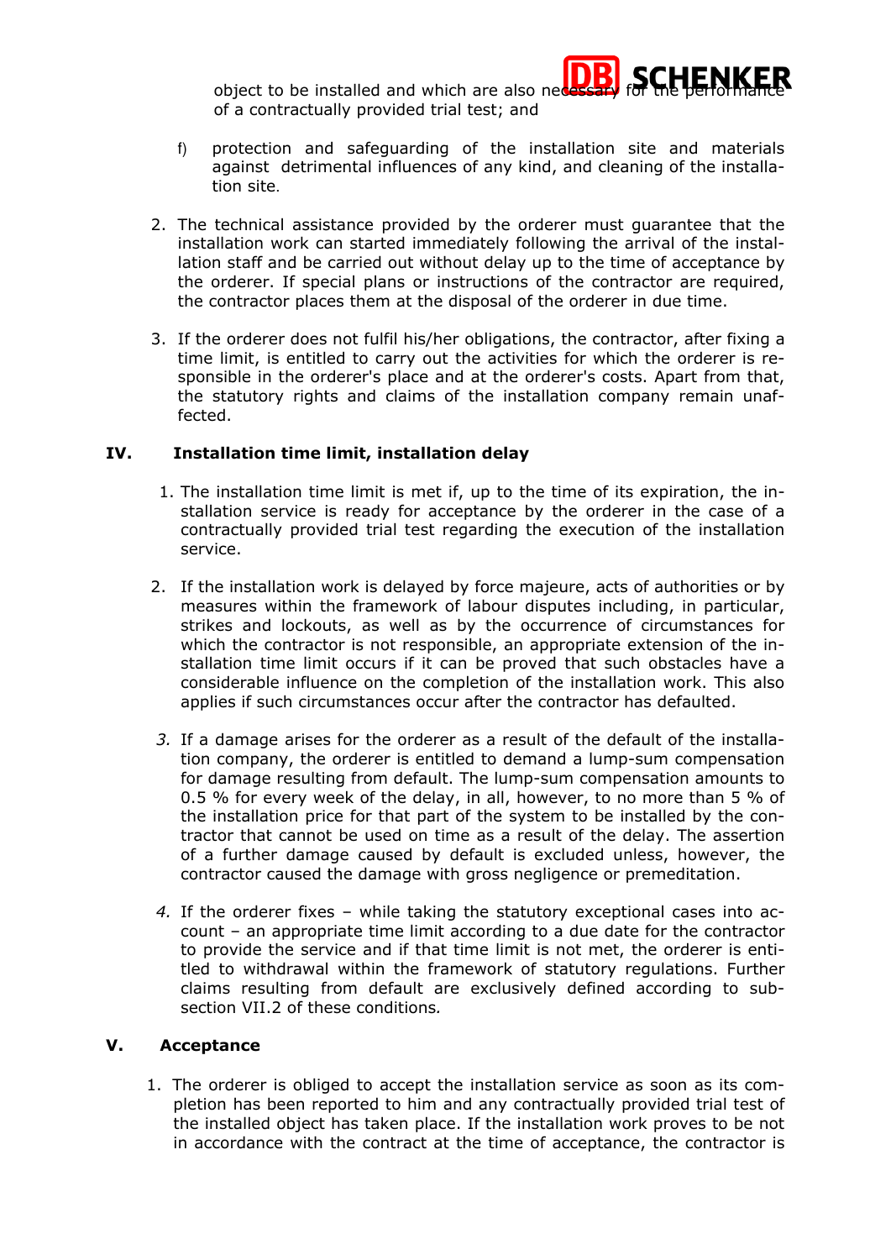object to be installed and which are also nee of a contractually provided trial test; and



- f) protection and safeguarding of the installation site and materials against detrimental influences of any kind, and cleaning of the installa tion site.
- 2. The technical assistance provided by the orderer must guarantee that the installation work can started immediately following the arrival of the installation staff and be carried out without delay up to the time of acceptance by the orderer. If special plans or instructions of the contractor are required, the contractor places them at the disposal of the orderer in due time.
- 3. If the orderer does not fulfil his/her obligations, the contractor, after fixing a time limit, is entitled to carry out the activities for which the orderer is responsible in the orderer's place and at the orderer's costs. Apart from that, the statutory rights and claims of the installation company remain unaffected.

# **IV. Installation time limit, installation delay**

- 1. The installation time limit is met if, up to the time of its expiration, the installation service is ready for acceptance by the orderer in the case of a contractually provided trial test regarding the execution of the installation service.
- 2. If the installation work is delayed by force majeure, acts of authorities or by measures within the framework of labour disputes including, in particular, strikes and lockouts, as well as by the occurrence of circumstances for which the contractor is not responsible, an appropriate extension of the installation time limit occurs if it can be proved that such obstacles have a considerable influence on the completion of the installation work. This also applies if such circumstances occur after the contractor has defaulted.
- *3.* If a damage arises for the orderer as a result of the default of the installation company, the orderer is entitled to demand a lump-sum compensation for damage resulting from default. The lump-sum compensation amounts to 0.5 % for every week of the delay, in all, however, to no more than 5 % of the installation price for that part of the system to be installed by the contractor that cannot be used on time as a result of the delay. The assertion of a further damage caused by default is excluded unless, however, the contractor caused the damage with gross negligence or premeditation.
- *4.* If the orderer fixes while taking the statutory exceptional cases into account – an appropriate time limit according to a due date for the contractor to provide the service and if that time limit is not met, the orderer is entitled to withdrawal within the framework of statutory regulations. Further claims resulting from default are exclusively defined according to subsection VII.2 of these conditions*.*

# **V. Acceptance**

1. The orderer is obliged to accept the installation service as soon as its completion has been reported to him and any contractually provided trial test of the installed object has taken place. If the installation work proves to be not in accordance with the contract at the time of acceptance, the contractor is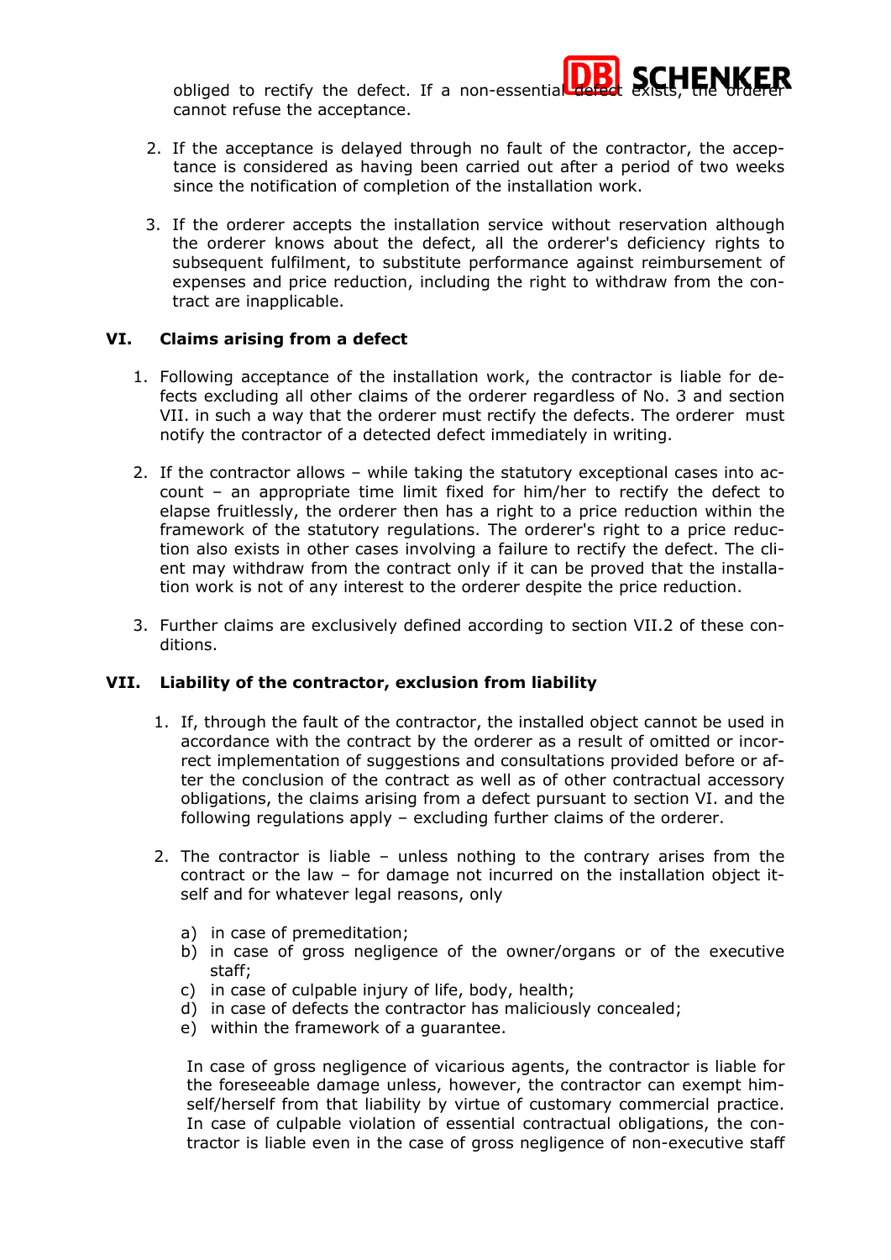obliged to rectify the defect. If a non-essential cannot refuse the acceptance.

- 2. If the acceptance is delayed through no fault of the contractor, the acceptance is considered as having been carried out after a period of two weeks since the notification of completion of the installation work.
- 3. If the orderer accepts the installation service without reservation although the orderer knows about the defect, all the orderer's deficiency rights to subsequent fulfilment, to substitute performance against reimbursement of expenses and price reduction, including the right to withdraw from the contract are inapplicable.

# **VI. Claims arising from a defect**

- 1. Following acceptance of the installation work, the contractor is liable for defects excluding all other claims of the orderer regardless of No. 3 and section VII. in such a way that the orderer must rectify the defects. The orderer must notify the contractor of a detected defect immediately in writing.
- 2. If the contractor allows while taking the statutory exceptional cases into account – an appropriate time limit fixed for him/her to rectify the defect to elapse fruitlessly, the orderer then has a right to a price reduction within the framework of the statutory regulations. The orderer's right to a price reduction also exists in other cases involving a failure to rectify the defect. The client may withdraw from the contract only if it can be proved that the installation work is not of any interest to the orderer despite the price reduction.
- 3. Further claims are exclusively defined according to section VII.2 of these conditions.

# **VII. Liability of the contractor, exclusion from liability**

- 1. If, through the fault of the contractor, the installed object cannot be used in accordance with the contract by the orderer as a result of omitted or incorrect implementation of suggestions and consultations provided before or after the conclusion of the contract as well as of other contractual accessory obligations, the claims arising from a defect pursuant to section VI. and the following regulations apply – excluding further claims of the orderer.
- 2. The contractor is liable unless nothing to the contrary arises from the contract or the law – for damage not incurred on the installation object itself and for whatever legal reasons, only
	- a) in case of premeditation;
	- b) in case of gross negligence of the owner/organs or of the executive staff;
	- c) in case of culpable injury of life, body, health;
	- d) in case of defects the contractor has maliciously concealed;
	- e) within the framework of a guarantee.

In case of gross negligence of vicarious agents, the contractor is liable for the foreseeable damage unless, however, the contractor can exempt himself/herself from that liability by virtue of customary commercial practice. In case of culpable violation of essential contractual obligations, the contractor is liable even in the case of gross negligence of non-executive staff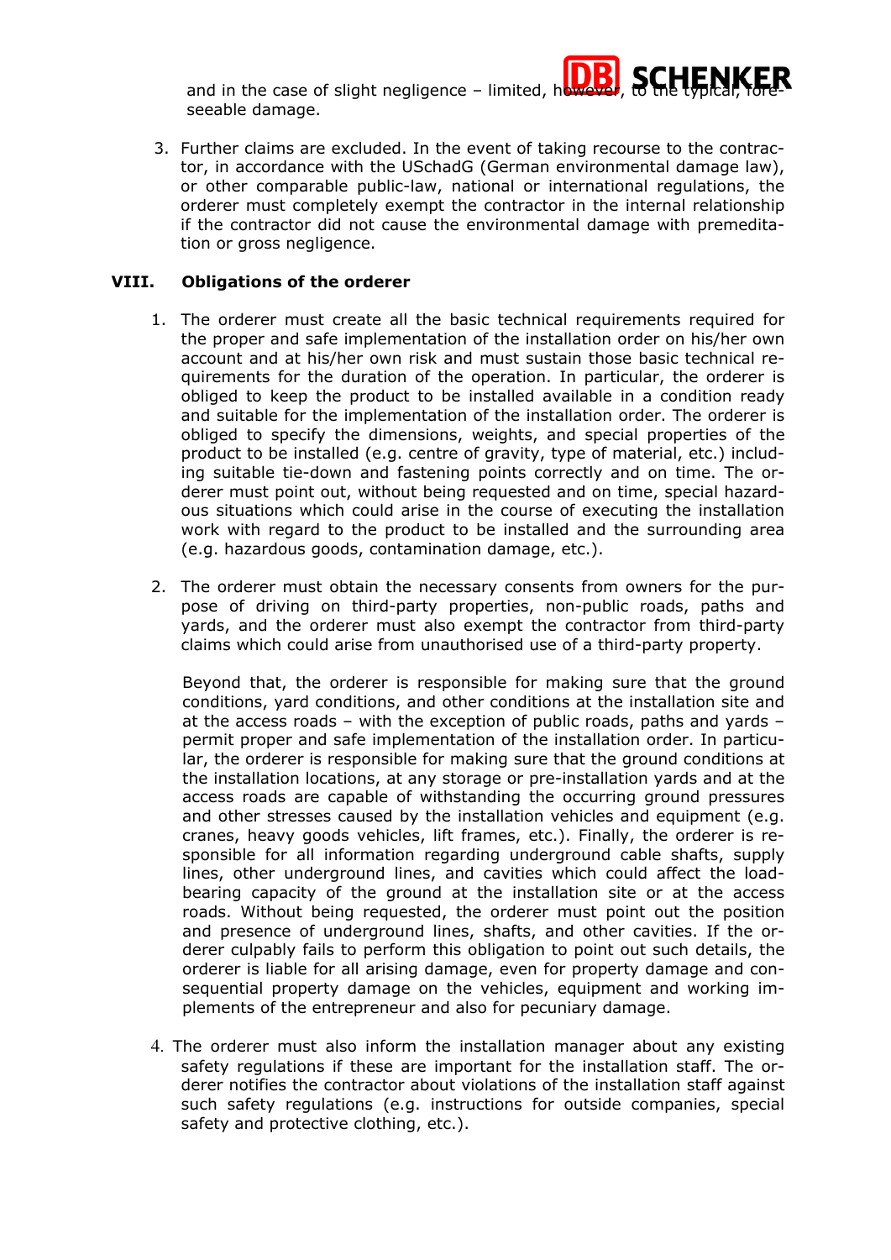and in the case of slight negligence – limited, however, the two the typical, the two states in the two states, to the two states  $\frac{1}{2}$ seeable damage.

3. Further claims are excluded. In the event of taking recourse to the contractor, in accordance with the USchadG (German environmental damage law), or other comparable public-law, national or international regulations, the orderer must completely exempt the contractor in the internal relationship if the contractor did not cause the environmental damage with premeditation or gross negligence.

# **VIII. Obligations of the orderer**

- 1. The orderer must create all the basic technical requirements required for the proper and safe implementation of the installation order on his/her own account and at his/her own risk and must sustain those basic technical requirements for the duration of the operation. In particular, the orderer is obliged to keep the product to be installed available in a condition ready and suitable for the implementation of the installation order. The orderer is obliged to specify the dimensions, weights, and special properties of the product to be installed (e.g. centre of gravity, type of material, etc.) including suitable tie-down and fastening points correctly and on time. The orderer must point out, without being requested and on time, special hazardous situations which could arise in the course of executing the installation work with regard to the product to be installed and the surrounding area (e.g. hazardous goods, contamination damage, etc.).
- 2. The orderer must obtain the necessary consents from owners for the purpose of driving on third-party properties, non-public roads, paths and yards, and the orderer must also exempt the contractor from third-party claims which could arise from unauthorised use of a third-party property.

Beyond that, the orderer is responsible for making sure that the ground conditions, yard conditions, and other conditions at the installation site and at the access roads – with the exception of public roads, paths and yards – permit proper and safe implementation of the installation order. In particular, the orderer is responsible for making sure that the ground conditions at the installation locations, at any storage or pre-installation yards and at the access roads are capable of withstanding the occurring ground pressures and other stresses caused by the installation vehicles and equipment (e.g. cranes, heavy goods vehicles, lift frames, etc.). Finally, the orderer is responsible for all information regarding underground cable shafts, supply lines, other underground lines, and cavities which could affect the loadbearing capacity of the ground at the installation site or at the access roads. Without being requested, the orderer must point out the position and presence of underground lines, shafts, and other cavities. If the orderer culpably fails to perform this obligation to point out such details, the orderer is liable for all arising damage, even for property damage and consequential property damage on the vehicles, equipment and working implements of the entrepreneur and also for pecuniary damage.

4. The orderer must also inform the installation manager about any existing safety regulations if these are important for the installation staff. The orderer notifies the contractor about violations of the installation staff against such safety regulations (e.g. instructions for outside companies, special safety and protective clothing, etc.).